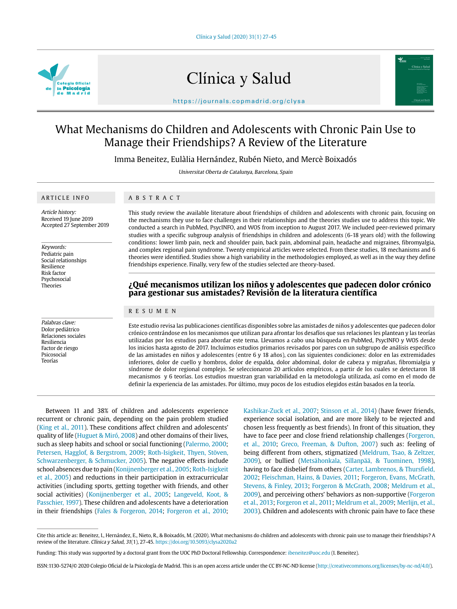

# Clínica y Salud



https://journals.copmadrid.org/clysa

## What Mechanisms do Children and Adolescents with Chronic Pain Use to Manage their Friendships? A Review of the Literature

Imma Beneitez, Eulàlia Hernández, Rubén Nieto, and Mercè Boixadós

Universitat Oberta de Catalunya, Barcelona, Spain

## ARTICLE INFO

ABSTRACT

Article history: Received 19 June 2019 Accepted 27 September 2019

Keywords: Pediatric pain Social relationships Resilience Risk factor Psychosocial Theories

Palabras clave: Dolor pediátrico Relaciones sociales Resiliencia Factor de riesgo Psicosocial Teorías

This study review the available literature about friendships of children and adolescents with chronic pain, focusing on the mechanisms they use to face challenges in their relationships and the theories studies use to address this topic. We conducted a search in PubMed, PsycINFO, and WOS from inception to August 2017. We included peer-reviewed primary studies with a specific subgroup analysis of friendships in children and adolescents (6-18 years old) with the following conditions: lower limb pain, neck and shoulder pain, back pain, abdominal pain, headache and migraines, fibromyalgia, and complex regional pain syndrome. Twenty empirical articles were selected. From these studies, 18 mechanisms and 6 theories were identified. Studies show a high variability in the methodologies employed, as well as in the way they define friendships experience. Finally, very few of the studies selected are theory-based.

## **¿Qué mecanismos utilizan los niños y adolescentes que padecen dolor crónico para gestionar sus amistades? Revisión de la literatura científica**

#### RESUMEN

Este estudio revisa las publicaciones científicas disponibles sobre las amistades de niños y adolescentes que padecen dolor crónico centrándose en los mecanismos que utilizan para afrontar los desafíos que sus relaciones les plantean y las teorías utilizadas por los estudios para abordar este tema. Llevamos a cabo una búsqueda en PubMed, PsycINFO y WOS desde los inicios hasta agosto de 2017. Incluimos estudios primarios revisados por pares con un subgrupo de análisis específico de las amistades en niños y adolescentes (entre 6 y 18 años), con las siguientes condiciones: dolor en las extremidades inferiores, dolor de cuello y hombros, dolor de espalda, dolor abdominal, dolor de cabeza y migrañas, fibromialgia y síndrome de dolor regional complejo. Se seleccionaron 20 artículos empíricos, a partir de los cuales se detectaron 18 mecanismos y 6 teorías. Los estudios muestran gran variabilidad en la metodología utilizada, así como en el modo de definir la experiencia de las amistades. Por último, muy pocos de los estudios elegidos están basados en la teoría.

Between 11 and 38% of children and adolescents experience recurrent or chronic pain, depending on the pain problem studied (King et al., 2011). These conditions affect children and adolescents' quality of life (Huguet & Miró, 2008) and other domains of their lives, such as sleep habits and school or social functioning (Palermo, 2000; Petersen, Hagglof, & Bergstrom, 2009; Roth-Isigkeit, Thyen, Stöven, Schwarzenberger, & Schmucker, 2005). The negative effects include school absences due to pain (Konijnenberger et al., 2005; Roth-Isigkeit et al., 2005) and reductions in their participation in extracurricular activities (including sports, getting together with friends, and other social activities) (Konijnenberger et al., 2005; Langeveld, Koot, & Passchier, 1997). These children and adolescents have a deterioration in their friendships (Fales & Forgeron, 2014; Forgeron et al., 2010;

Kashikar-Zuck et al., 2007; Stinson et al., 2014) (have fewer friends, experience social isolation, and are more likely to be rejected and chosen less frequently as best friends). In front of this situation, they have to face peer and close friend relationship challenges (Forgeron, et al., 2010; Greco, Freeman, & Dufton, 2007) such as: feeling of being different from others, stigmatized (Meldrum, Tsao, & Zeltzer, 2009), or bullied (Metsähonkala, Sillanpää, & Tuominen, 1998), having to face disbelief from others (Carter, Lambrenos, & Thursfield, 2002; Fleischman, Hains, & Davies, 2011; Forgeron, Evans, McGrath, Stevens, & Finley, 2013; Forgeron & McGrath, 2008; Meldrum et al., 2009), and perceiving others' behaviors as non-supportive (Forgeron et al., 2013; Forgeron et al., 2011; Meldrum et al., 2009; Merlijn, et al., 2003). Children and adolescents with chronic pain have to face these

Cite this article as: Beneitez, I., Hernández, E., Nieto, R., & Boixadós, M. (2020). What mechanisms do children and adolescents with chronic pain use to manage their friendships? A review of the literature. Clínica y Salud, 31(1), 27-45. https://doi.org/10.5093/clysa2020a2

Funding: This study was supported by a doctoral grant from the UOC PhD Doctoral Fellowship. Correspondence: ibeneitez@uoc.edu (I. Beneitez).

ISSN:1130-5274/© 2020 Colegio Oficial de la Psicología de Madrid. This is an open access article under the CC BY-NC-ND license (http://creativecommons.org/licenses/by-nc-nd/4.0/).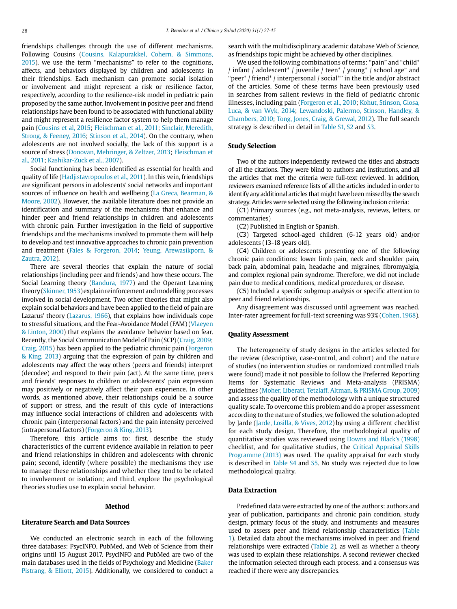friendships challenges through the use of different mechanisms. Following Cousins (Cousins, Kalapurakkel, Cohern, & Simmons, 2015), we use the term "mechanisms" to refer to the cognitions, affects, and behaviors displayed by children and adolescents in their friendships. Each mechanism can promote social isolation or involvement and might represent a risk or resilience factor, respectively, according to the resilience-risk model in pediatric pain proposed by the same author. Involvement in positive peer and friend relationships have been found to be associated with functional ability and might represent a resilience factor system to help them manage pain (Cousins et al, 2015; Fleischman et al., 2011; Sinclair, Meredith, Strong, & Feeney, 2016; Stinson et al., 2014). On the contrary, when adolescents are not involved socially, the lack of this support is a source of stress (Donovan, Mehringer, & Zeltzer, 2013; Fleischman et al., 2011; Kashikar-Zuck et al., 2007).

Social functioning has been identified as essential for health and quality of life (Hadjistavropoulos et al., 2011). In this vein, friendships are significant persons in adolescents' social networks and important sources of influence on health and wellbeing (La Greca, Bearman, & Moore, 2002). However, the available literature does not provide an identification and summary of the mechanisms that enhance and hinder peer and friend relationships in children and adolescents with chronic pain. Further investigation in the field of supportive friendships and the mechanisms involved to promote them will help to develop and test innovative approaches to chronic pain prevention and treatment (Fales & Forgeron, 2014; Yeung, Arewasikporn, & Zautra, 2012).

There are several theories that explain the nature of social relationships (including peer and friends) and how these occurs. The Social Learning theory (Bandura, 1977) and the Operant Learning theory (Skinner, 1953) explain reinforcement and modelling processes involved in social development. Two other theories that might also explain social behaviors and have been applied to the field of pain are Lazarus' theory (Lazarus, 1966), that explains how individuals cope to stressful situations, and the Fear-Avoidance Model (FAM) (Vlaeyen & Linton, 2000) that explains the avoidance behavior based on fear. Recently, the Social Communication Model of Pain (SCP) (Craig, 2009; Craig, 2015) has been applied to the pediatric chronic pain (Forgeron & King, 2013) arguing that the expression of pain by children and adolescents may affect the way others (peers and friends) interpret (decodee) and respond to their pain (act). At the same time, peers and friends' responses to children or adolescents' pain expression may positively or negatively affect their pain experience. In other words, as mentioned above, their relationships could be a source of support or stress, and the result of this cycle of interactions may influence social interactions of children and adolescents with chronic pain (interpersonal factors) and the pain intensity perceived (intrapersonal factors) (Forgeron & King, 2013).

Therefore, this article aims to: first, describe the study characteristics of the current evidence available in relation to peer and friend relationships in children and adolescents with chronic pain; second, identify (where possible) the mechanisms they use to manage these relationships and whether they tend to be related to involvement or isolation; and third, explore the psychological theories studies use to explain social behavior.

#### **Method**

## **Literature Search and Data Sources**

We conducted an electronic search in each of the following three databases: PsycINFO, PubMed, and Web of Science from their origins until 15 August 2017. PsycINFO and PubMed are two of the main databases used in the fields of Psychology and Medicine (Baker Pistrang, & Elliott, 2015). Additionally, we considered to conduct a search with the multidisciplinary academic database Web of Science, as friendships topic might be achieved by other disciplines.

We used the following combinations of terms: "pain" and "child\* / infant / adolescent\* / juvenile / teen\* / young\* / school age" and "peer\* / friend\* / interpersonal / social\*" in the title and/or abstract of the articles. Some of these terms have been previously used in searches from salient reviews in the field of pediatric chronic illnesses, including pain (Forgeron et al., 2010; Kohut, Stinson, Giosa, Luca, & van Wyk, 2014; Lewandoski, Palermo, Stinson, Handley, & Chambers, 2010; Tong, Jones, Craig, & Grewal, 2012). The full search strategy is described in detail in Table S1, S2 and S3.

## **Study Selection**

Two of the authors independently reviewed the titles and abstracts of all the citations. They were blind to authors and institutions, and all the articles that met the criteria were full-text reviewed. In addition, reviewers examined reference lists of all the articles included in order to identify any additional articles that might have been missed by the search strategy. Articles were selected using the following inclusion criteria:

(C1) Primary sources (e.g., not meta-analysis, reviews, letters, or commentaries)

(C2) Published in English or Spanish.

(C3) Targeted school-aged children (6-12 years old) and/or adolescents (13-18 years old).

(C4) Children or adolescents presenting one of the following chronic pain conditions: lower limb pain, neck and shoulder pain, back pain, abdominal pain, headache and migraines, fibromyalgia, and complex regional pain syndrome. Therefore, we did not include pain due to medical conditions, medical procedures, or disease.

(C5) Included a specific subgroup analysis or specific attention to peer and friend relationships.

Any disagreement was discussed until agreement was reached. Inter-rater agreement for full-text screening was 93% (Cohen, 1968).

#### **Quality Assessment**

The heterogeneity of study designs in the articles selected for the review (descriptive, case-control, and cohort) and the nature of studies (no intervention studies or randomized controlled trials were found) made it not possible to follow the Preferred Reporting Items for Systematic Reviews and Meta-analysis (PRISMA) guidelines (Moher, Liberati, Tetzlaff, Altman, & PRISMA Group, 2009) and assess the quality of the methodology with a unique structured quality scale. To overcome this problem and do a proper assessment according to the nature of studies, we followed the solution adopted by Jarde (Jarde, Losilla, & Vives, 2012) by using a different checklist for each study design. Therefore, the methodological quality of quantitative studies was reviewed using Downs and Black's (1998) checklist, and for qualitative studies, the Critical Appraisal Skills Programme (2013) was used. The quality appraisal for each study is described in Table S4 and S5. No study was rejected due to low methodological quality.

#### **Data Extraction**

Predefined data were extracted by one of the authors: authors and year of publication, participants and chronic pain condition, study design, primary focus of the study, and instruments and measures used to assess peer and friend relationship characteristics (Table 1). Detailed data about the mechanisms involved in peer and friend relationships were extracted (Table 2), as well as whether a theory was used to explain these relationships. A second reviewer checked the information selected through each process, and a consensus was reached if there were any discrepancies.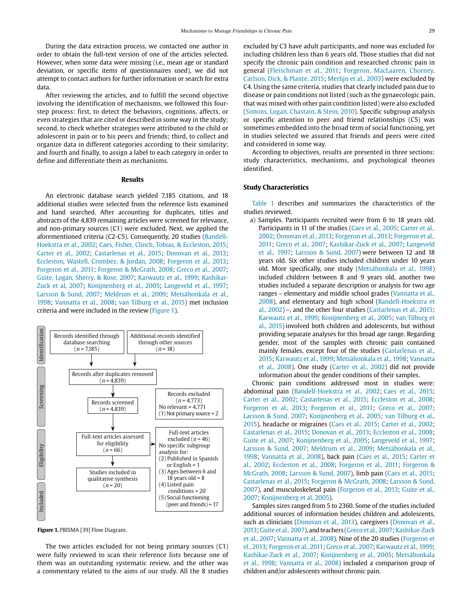During the data extraction process, we contacted one author in order to obtain the full-text version of one of the articles selected. However, when some data were missing (i.e., mean age or standard deviation, or specific items of questionnaires used), we did not attempt to contact authors for further information or search for extra data.

After reviewing the articles, and to fulfill the second objective involving the identification of mechanisms, we followed this fourstep process: first, to detect the behaviors, cognitions, affects, or even strategies that are cited or described in some way in the study; second, to check whether strategies were attributed to the child or adolescent in pain or to his peers and friends; third, to collect and organize data in different categories according to their similarity; and fourth and finally, to assign a label to each category in order to define and differentiate them as mechanisms.

#### **Results**

An electronic database search yielded 7,185 citations, and 18 additional studies were selected from the reference lists examined and hand searched. After accounting for duplicates, titles and abstracts of the 4,839 remaining articles were screened for relevance, and non-primary sources (C1) were excluded. Next, we applied the aforementioned criteria (C2-C5). Consequently, 20 studies (Bandell-Hoekstra et al., 2002; Caes, Fisher, Clinch, Tobias, & Eccleston, 2015; Carter et al., 2002; Castarlenas et al., 2015; Donovan et al., 2013; Eccleston, Wastell, Crombez, & Jordan, 2008; Forgeron et al., 2013; Forgeron et al., 2011; Forgeron & McGrath, 2008; Greco et al., 2007; Guite, Logan, Sherry, & Rose, 2007; Karwautz et al., 1999; Kashikar-Zuck et al, 2007; Konijnenberg et al., 2005; Langeveld et al., 1997; Larsson & Sund, 2007; Meldrum et al., 2009; Metsähonkala et al., 1998; Vannatta et al., 2008; van Tilburg et al., 2015) met inclusion criteria and were included in the review (Figure 1).



**Figure 1.** PRISMA [39] Flow Diagram.

The two articles excluded for not being primary sources (C1) were fully reviewed to scan their reference lists because one of them was an outstanding systematic review, and the other was a commentary related to the aims of our study. All the 8 studies

excluded by C3 have adult participants, and none was excluded for including children less than 6 years old. Those studies that did not specify the chronic pain condition and researched chronic pain in general (Fleischman et al., 2011; Forgeron, MacLaaren, Chorney, Carlson, Dick, & Plante, 2015; Merlijn et al., 2003) were excluded by C4. Using the same criteria, studies that clearly included pain due to disease or pain conditions not listed (such as the gynaecologic pain, that was mixed with other pain condition listed) were also excluded (Simons, Logan, Chastain, & Stein, 2010). Specific subgroup analysis or specific attention to peer and friend relationships (C5) was sometimes embedded into the broad term of social functioning, yet in studies selected we assured that friends and peers were cited and considered in some way.

According to objectives, results are presented in three sections: study characteristics, mechanisms, and psychological theories identified.

#### **Study Characteristics**

Table 1 describes and summarizes the characteristics of the studies reviewed.

a) Samples. Participants recruited were from 6 to 18 years old. Participants in 11 of the studies (Caes et al., 2005; Carter et al., 2002; Donovan et al., 2013; Forgeron et al., 2013; Forgeron et al., 2011; Greco et al., 2007; Kashikar-Zuck et al., 2007; Langeveld et al., 1997; Larsson & Sund, 2007) were between 12 and 18 years old. Six other studies included children under 10 years old. More specifically, one study (Metsähonkala et al., 1998) included children between 8 and 9 years old, another two studies included a separate description or analysis for two age ranges – elementary and middle school grades (Vannatta et al., 2008), and elementary and high school (Bandell-Hoekstra et al., 2002) –, and the other four studies (Castarlenas et al., 2015; Karwautz et al., 1999; Konijnenberg et al., 2005; van Tilburg et al., 2015) involved both children and adolescents, but without providing separate analyses for this broad age range. Regarding gender, most of the samples with chronic pain contained mainly females, except four of the studies (Castarlenas et al., 2015; Karwautz et al., 1999; Metsähonkala et al., 1998; Vannatta et al., 2008). One study (Carter et al., 2002) did not provide information about the gender conditions of their samples.

Chronic pain conditions addressed most in studies were: abdominal pain (Bandell-Hoekstra et al., 2002; Caes et al., 2015; Carter et al., 2002; Castarlenas et al., 2015; Eccleston et al., 2008; Forgeron et al., 2013; Forgeron et al., 2011; Greco et al., 2007; Larsson & Sund, 2007; Konijnenberg et al., 2005; van Tilburg et al., 2015), headache or migraines (Caes et al., 2015; Carter et al., 2002; Castarlenas et al., 2015; Donovan et al., 2013; Eccleston et al., 2008; Guite et al., 2007; Konijnenberg et al., 2005; Langeveld et al., 1997; Larsson & Sund, 2007; Meldrum et al., 2009; Metsähonkala et al., 1998; Vannatta et al., 2008), back pain (Caes et al., 2015; Carter et al., 2002; Eccleston et al., 2008; Forgeron et al., 2011; Forgeron & McGrath, 2008; Larsson & Sund, 2007), limb pain (Caes et al., 2015; Castarlenas et al., 2015; Forgeron & McGrath, 2008; Larsson & Sund, 2007), and musculoskeletal pain (Forgeron et al., 2013; Guite et al., 2007; Konijnenberg et al, 2005).

Samples sizes ranged from 5 to 2360. Some of the studies included additional sources of information besides children and adolescents, such as clinicians (Donovan et al., 2013), caregivers (Donovan et al., 2013; Guite et al., 2007), and teachers (Greco et al., 2007; Kashikar-Zuck et al., 2007; Vannatta et al., 2008). Nine of the 20 studies (Forgeron et el., 2013; Forgeron et al., 2011; Greco et al., 2007; Karwautz et al., 1999; Kashikar-Zuck et al., 2007; Konijnenberg et al., 2005; Metsähonkala et al., 1998; Vannatta et al., 2008) included a comparison group of children and/or adolescents without chronic pain.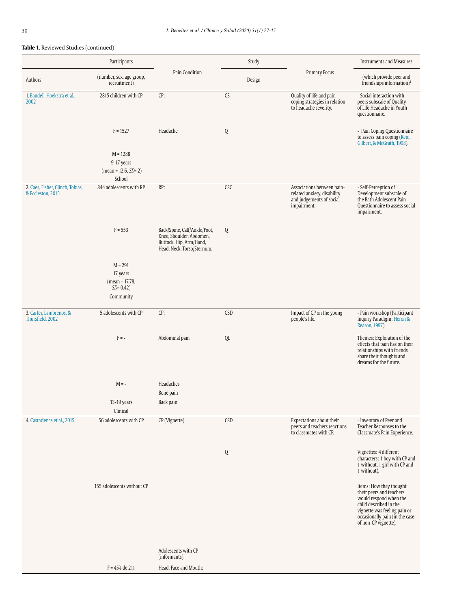|                                                       | Participants                                                            |                                                                                                                   | Study      |                                                                                                      | <b>Instruments and Measures</b>                                                                                                                                                                   |
|-------------------------------------------------------|-------------------------------------------------------------------------|-------------------------------------------------------------------------------------------------------------------|------------|------------------------------------------------------------------------------------------------------|---------------------------------------------------------------------------------------------------------------------------------------------------------------------------------------------------|
| Authors                                               | (number, sex, age group,<br>recruitment)                                | Pain Condition                                                                                                    | Design     | Primary Focus                                                                                        | (which provide peer and<br>friendships information) <sup>1</sup>                                                                                                                                  |
| 1. Bandell-Hoekstra et al.,<br>2002                   | 2815 children with CP                                                   | CP:                                                                                                               | CS         | Quality of life and pain<br>coping strategies in relation<br>to headache severity.                   | - Social interaction with<br>peers subscale of Quality<br>of Life Headache in Youth<br>questionnaire.                                                                                             |
|                                                       | $F = 1527$                                                              | Headache                                                                                                          | Q          |                                                                                                      | - Pain Coping Questionnaire<br>to assess pain coping (Reid,<br>Gilbert, & McGrath, 1998).                                                                                                         |
|                                                       | $M = 1288$<br>9-17 years<br>$(mean = 12.6, SD = 2)$<br>School           |                                                                                                                   |            |                                                                                                      |                                                                                                                                                                                                   |
| 2. Caes, Fisher, Clinch, Tobias,<br>& Eccleston, 2015 | 844 adolescents with RP                                                 | RP:                                                                                                               | CSC        | Associations between pain-<br>related anxiety, disability<br>and judgements of social<br>impairment. | - Self-Perception of<br>Development subscale of<br>the Bath Adolescent Pain<br>Questionnaire to assess social<br>impairment.                                                                      |
|                                                       | $F = 553$                                                               | Back/Spine, Calf/Ankle/Foot,<br>Knee, Shoulder, Abdomen,<br>Buttock, Hip, Arm/Hand,<br>Head, Neck, Torso/Sternum. | Q          |                                                                                                      |                                                                                                                                                                                                   |
|                                                       | $M = 291$<br>17 years<br>$(mean = 17.78,$<br>$SD = 0.42$ )<br>Community |                                                                                                                   |            |                                                                                                      |                                                                                                                                                                                                   |
| 3. Carter, Lambrenos, &<br>Thursfield, 2002           | 5 adolescents with CP                                                   | CP:                                                                                                               | <b>CSD</b> | Impact of CP on the young<br>people's life.                                                          | - Pain workshop (Participant<br>Inquiry Paradigm; Heron &<br>Reason, 1997).                                                                                                                       |
|                                                       | $F = -$                                                                 | Abdominal pain                                                                                                    | QL         |                                                                                                      | Themes: Exploration of the<br>effects that pain has on their<br>relationships with friends<br>share their thoughts and<br>dreams for the future.                                                  |
|                                                       | $M = -$                                                                 | Headaches<br>Bone pain                                                                                            |            |                                                                                                      |                                                                                                                                                                                                   |
|                                                       | $13-19$ years<br>Clinical                                               | Back pain                                                                                                         |            |                                                                                                      |                                                                                                                                                                                                   |
| 4. Castarlenas et al., 2015                           | 56 adolescents with CP                                                  | CP (Vignette)                                                                                                     | CSD        | Expectations about their<br>peers and teachers reactions<br>to classmates with CP.                   | - Inventory of Peer and<br>Teacher Responses to the<br>Classmate's Pain Experience.                                                                                                               |
|                                                       |                                                                         |                                                                                                                   | Q          |                                                                                                      | Vignettes: 4 different<br>characters: 1 boy with CP and<br>1 without, 1 girl with CP and<br>1 without).                                                                                           |
|                                                       | 155 adolescents without CP                                              |                                                                                                                   |            |                                                                                                      | Items: How they thought<br>their peers and teachers<br>would respond when the<br>child described in the<br>vignette was feeling pain or<br>occasionally pain (in the case<br>of non-CP vignette). |
|                                                       |                                                                         | Adolescents with CP<br>(informants):                                                                              |            |                                                                                                      |                                                                                                                                                                                                   |
|                                                       | $F = 45%$ de 211                                                        | Head, Face and Mouth;                                                                                             |            |                                                                                                      |                                                                                                                                                                                                   |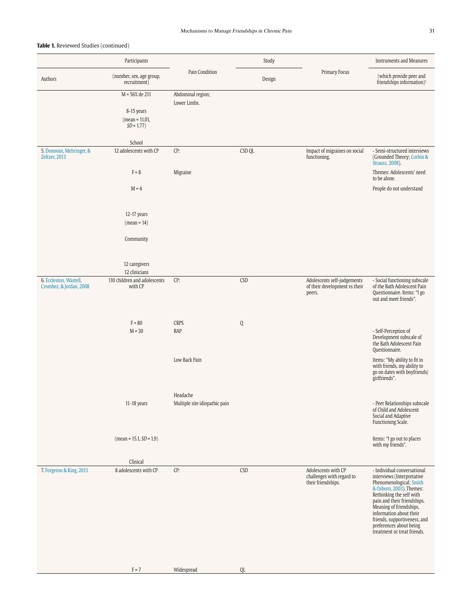|                                           | Participants                             |                                   | Study       |                                                 | <b>Instruments and Measures</b>                                                                                                                                                                                                                                                              |
|-------------------------------------------|------------------------------------------|-----------------------------------|-------------|-------------------------------------------------|----------------------------------------------------------------------------------------------------------------------------------------------------------------------------------------------------------------------------------------------------------------------------------------------|
| Authors                                   | (number, sex, age group,<br>recruitment) | Pain Condition                    | Design      | Primary Focus                                   | (which provide peer and<br>friendships information) <sup>1</sup>                                                                                                                                                                                                                             |
|                                           | M = 56% de 211                           | Abdominal region;<br>Lower Limbs. |             |                                                 |                                                                                                                                                                                                                                                                                              |
|                                           | 8-15 years                               |                                   |             |                                                 |                                                                                                                                                                                                                                                                                              |
|                                           | $(mean = 11.01,$                         |                                   |             |                                                 |                                                                                                                                                                                                                                                                                              |
|                                           | $SD = 1.77$                              |                                   |             |                                                 |                                                                                                                                                                                                                                                                                              |
|                                           | School                                   |                                   |             |                                                 |                                                                                                                                                                                                                                                                                              |
| 5. Donovan, Mehringer, &<br>Zeltzer, 2013 | 12 adolescents with CP                   | CP:                               | CSD QL      | Impact of migraines on social<br>functioning.   | - Semi-structured interviews<br>(Grounded Theory; Corbin &<br><b>Strauss</b> , 2008).                                                                                                                                                                                                        |
|                                           | $F = 8$                                  | Migraine                          |             |                                                 | Themes: Adolescents' need<br>to be alone.                                                                                                                                                                                                                                                    |
|                                           | $M = 4$                                  |                                   |             |                                                 | People do not understand                                                                                                                                                                                                                                                                     |
|                                           |                                          |                                   |             |                                                 |                                                                                                                                                                                                                                                                                              |
|                                           | 12-17 years<br>$(mean = 14)$             |                                   |             |                                                 |                                                                                                                                                                                                                                                                                              |
|                                           | Community                                |                                   |             |                                                 |                                                                                                                                                                                                                                                                                              |
|                                           |                                          |                                   |             |                                                 |                                                                                                                                                                                                                                                                                              |
|                                           | 12 caregivers<br>12 clinicians           |                                   |             |                                                 |                                                                                                                                                                                                                                                                                              |
| 6. Eccleston, Wastell,                    | 110 children and adolescents             | CP:                               | CSD         | Adolescents self-judgements                     | - Social functioning subscale                                                                                                                                                                                                                                                                |
| Crombez, & Jordan, 2008                   | with CP                                  |                                   |             | of their development vs their<br>peers.         | of the Bath Adolescent Pain<br>Questionnaire. Items: "I go<br>out and meet friends".                                                                                                                                                                                                         |
|                                           |                                          |                                   |             |                                                 |                                                                                                                                                                                                                                                                                              |
|                                           | $F = 80$                                 | <b>CRPS</b>                       | $\mathbf Q$ |                                                 |                                                                                                                                                                                                                                                                                              |
|                                           | $M = 30$                                 | <b>RAP</b>                        |             |                                                 | - Self-Perception of<br>Development subscale of<br>the Bath Adolescent Pain<br>Questionnaire.                                                                                                                                                                                                |
|                                           |                                          | Low Back Pain                     |             |                                                 | Items: "My ability to fit in<br>with friends, my ability to<br>go on dates with boyfriends/<br>girlfriends".                                                                                                                                                                                 |
|                                           |                                          | Headache                          |             |                                                 |                                                                                                                                                                                                                                                                                              |
|                                           | $11-18$ years                            | Multiple site idiopathic pain     |             |                                                 | - Peer Relationships subscale<br>of Child and Adolescent<br>Social and Adaptive<br>Functioning Scale.                                                                                                                                                                                        |
|                                           | $mean = 15.1, SD = 1.9$                  |                                   |             |                                                 | Items: "I go out to places<br>with my friends".                                                                                                                                                                                                                                              |
|                                           |                                          |                                   |             |                                                 |                                                                                                                                                                                                                                                                                              |
| 7. Forgeron & King, 2013                  | Clinical<br>8 adolescents with CP        | CP:                               | CSD         | Adolescents with CP                             | - Individual conversational                                                                                                                                                                                                                                                                  |
|                                           |                                          |                                   |             | challenges with regard to<br>their friendships. | interviews (Interpretative<br>Phenomenological; Smith<br>& Osborn, 2003). Themes:<br>Rethinking the self with<br>pain and their friendships.<br>Meaning of friendships,<br>information about their<br>friends, supportiveness, and<br>preferences about being<br>treatment or treat friends. |
|                                           |                                          |                                   |             |                                                 |                                                                                                                                                                                                                                                                                              |
|                                           | $F = 7$                                  | Widespread                        | QL          |                                                 |                                                                                                                                                                                                                                                                                              |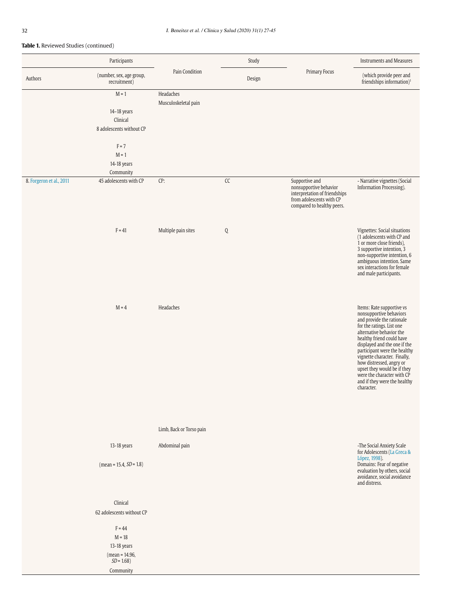|                          | Participants                                                            |                                   | Study         |                                                                                                                                     | <b>Instruments and Measures</b>                                                                                                                                                                                                                                                                                                                                                                                |
|--------------------------|-------------------------------------------------------------------------|-----------------------------------|---------------|-------------------------------------------------------------------------------------------------------------------------------------|----------------------------------------------------------------------------------------------------------------------------------------------------------------------------------------------------------------------------------------------------------------------------------------------------------------------------------------------------------------------------------------------------------------|
| Authors                  | (number, sex, age group,<br>recruitment)                                | Pain Condition                    | Design        | Primary Focus                                                                                                                       | (which provide peer and<br>friendships information) <sup>1</sup>                                                                                                                                                                                                                                                                                                                                               |
|                          | $\mathbf{M} = 1$<br>14-18 years<br>Clinical<br>8 adolescents without CP | Headaches<br>Musculoskeletal pain |               |                                                                                                                                     |                                                                                                                                                                                                                                                                                                                                                                                                                |
|                          | $F = 7$<br>$M = 1$<br>14-18 years<br>Community                          |                                   |               |                                                                                                                                     |                                                                                                                                                                                                                                                                                                                                                                                                                |
| 8. Forgeron et al., 2011 | 45 adolescents with CP                                                  | CP:                               | $\mathsf{CC}$ | Supportive and<br>nonsupportive behavior<br>interpretation of friendships<br>from adolescents with CP<br>compared to healthy peers. | - Narrative vignettes (Social<br>Information Processing).                                                                                                                                                                                                                                                                                                                                                      |
|                          | $F = 41$                                                                | Multiple pain sites               | Q             |                                                                                                                                     | Vignettes: Social situations<br>(1 adolescents with CP and<br>1 or more close friends),<br>3 supportive intention, 3<br>non-supportive intention, 6<br>ambiguous intention. Same<br>sex interactions for female<br>and male participants.                                                                                                                                                                      |
|                          | $M = 4$                                                                 | Headaches                         |               |                                                                                                                                     | Items: Rate supportive vs<br>nonsupportive behaviors<br>and provide the rationale<br>for the ratings. List one<br>alternative behavior the<br>healthy friend could have<br>displayed and the one if the<br>participant were the healthy<br>vignette character. Finally,<br>how distressed, angry or<br>upset they would be if they<br>were the character with CP<br>and if they were the healthy<br>character. |
|                          |                                                                         | Limb, Back or Torso pain          |               |                                                                                                                                     |                                                                                                                                                                                                                                                                                                                                                                                                                |
|                          | 13-18 years                                                             | Abdominal pain                    |               |                                                                                                                                     | -The Social Anxiety Scale<br>for Adolescents (La Greca &<br>López, 1998).                                                                                                                                                                                                                                                                                                                                      |
|                          | $mean = 15.4, SD = 1.8$                                                 |                                   |               |                                                                                                                                     | Domains: Fear of negative<br>evaluation by others, social<br>avoidance, social avoidance<br>and distress.                                                                                                                                                                                                                                                                                                      |
|                          | Clinical<br>62 adolescents without CP                                   |                                   |               |                                                                                                                                     |                                                                                                                                                                                                                                                                                                                                                                                                                |
|                          | $F = 44$<br>$M = 18$<br>13-18 years<br>$(mean = 14.96,$<br>$SD = 1.68$  |                                   |               |                                                                                                                                     |                                                                                                                                                                                                                                                                                                                                                                                                                |
|                          | Community                                                               |                                   |               |                                                                                                                                     |                                                                                                                                                                                                                                                                                                                                                                                                                |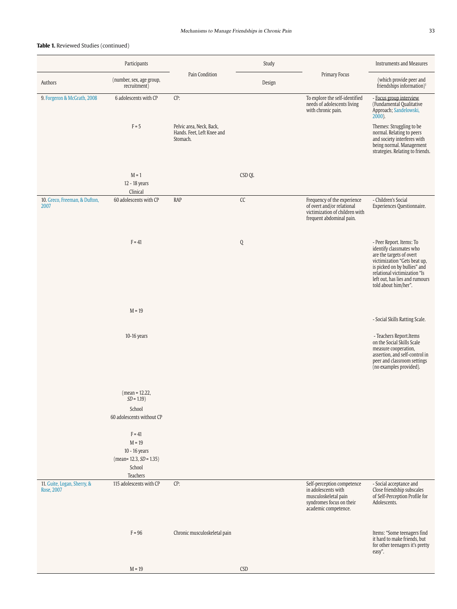|                                           | Participants                                                                               |                                                                    | Study       |                                                                                                                               | <b>Instruments and Measures</b>                                                                                                                                                                                                           |
|-------------------------------------------|--------------------------------------------------------------------------------------------|--------------------------------------------------------------------|-------------|-------------------------------------------------------------------------------------------------------------------------------|-------------------------------------------------------------------------------------------------------------------------------------------------------------------------------------------------------------------------------------------|
| Authors                                   | (number, sex, age group,<br>recruitment)                                                   | Pain Condition                                                     | Design      | Primary Focus                                                                                                                 | (which provide peer and<br>friendships information) <sup>1</sup>                                                                                                                                                                          |
| 9. Forgeron & McGrath, 2008               | 6 adolescents with CP                                                                      | CP:                                                                |             | To explore the self-identified<br>needs of adolescents living<br>with chronic pain.                                           | - Focus group interview<br>(Fundamental Qualitative<br>Approach; Sandelowski,<br>$2000$ ).                                                                                                                                                |
|                                           | $F = 5$                                                                                    | Pelvic area, Neck, Back,<br>Hands. Feet, Left Knee and<br>Stomach. |             |                                                                                                                               | Themes: Struggling to be<br>normal. Relating to peers<br>and society interferes with<br>being normal. Management<br>strategies. Relating to friends.                                                                                      |
|                                           | $M = 1$<br>12 - 18 years<br>Clinical                                                       |                                                                    | CSD QL      |                                                                                                                               |                                                                                                                                                                                                                                           |
| 10. Greco, Freeman, & Dufton,<br>2007     | 60 adolescents with CP                                                                     | <b>RAP</b>                                                         | ${\sf CC}$  | Frequency of the experience<br>of overt and/or relational<br>victimization of children with<br>frequent abdominal pain.       | - Children's Social<br>Experiences Questionnaire.                                                                                                                                                                                         |
|                                           | $F = 41$                                                                                   |                                                                    | $\mathsf Q$ |                                                                                                                               | - Peer Report. Items: To<br>identify classmates who<br>are the targets of overt<br>victimization "Gets beat up,<br>is picked on by bullies" and<br>relational victimization "Is<br>left out, has lies and rumours<br>told about him/her". |
|                                           | $M = 19$                                                                                   |                                                                    |             |                                                                                                                               | - Social Skills Ratting Scale.                                                                                                                                                                                                            |
|                                           | 10-16 years                                                                                |                                                                    |             |                                                                                                                               | - Teachers Report. Items<br>on the Social Skills Scale<br>measure cooperation,<br>assertion, and self-control in<br>peer and classroom settings<br>(no examples provided).                                                                |
|                                           | $(mean = 12.22,$<br>$SD = 1.19$<br>School<br>60 adolescents without CP                     |                                                                    |             |                                                                                                                               |                                                                                                                                                                                                                                           |
|                                           | $F = 41$<br>$M = 19$<br>$10 - 16$ years<br>$(mean= 12.3, SD = 1.35)$<br>School<br>Teachers |                                                                    |             |                                                                                                                               |                                                                                                                                                                                                                                           |
| 11. Guite, Logan, Sherry, &<br>Rose, 2007 | 115 adolescents with CP                                                                    | CP:                                                                |             | Self-perception competence<br>in adolescents with<br>musculoskeletal pain<br>syndromes focus on their<br>academic competence. | - Social acceptance and<br>Close friendship subscales<br>of Self-Perception Profile for<br>Adolescents.                                                                                                                                   |
|                                           | $F = 96$                                                                                   | Chronic musculoskeletal pain                                       |             |                                                                                                                               | Items: "Some teenagers find<br>it hard to make friends, but<br>for other teenagers it's pretty<br>easy".                                                                                                                                  |
|                                           | $M = 19$                                                                                   |                                                                    | CSD         |                                                                                                                               |                                                                                                                                                                                                                                           |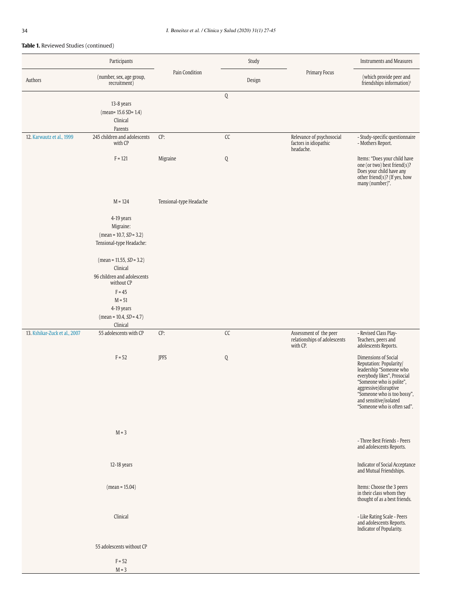|                               | Participants                                                                     |                         |            | Study  |                                                                    | <b>Instruments and Measures</b>                                                                                                                                                                                                                        |
|-------------------------------|----------------------------------------------------------------------------------|-------------------------|------------|--------|--------------------------------------------------------------------|--------------------------------------------------------------------------------------------------------------------------------------------------------------------------------------------------------------------------------------------------------|
| Authors                       | (number, sex, age group,<br>recruitment)                                         | Pain Condition          |            | Design | Primary Focus                                                      | (which provide peer and<br>friendships information) <sup>1</sup>                                                                                                                                                                                       |
|                               | 13-8 years<br>$(mean = 15.6 SD = 1.4)$<br>Clinical<br>Parents                    |                         | Q          |        |                                                                    |                                                                                                                                                                                                                                                        |
| 12. Karwautz et al., 1999     | 245 children and adolescents<br>with CP                                          | CP:                     | ${\sf CC}$ |        | Relevance of psychosocial<br>factors in idiopathic<br>headache.    | - Study-specific questionnaire<br>- Mothers Report.                                                                                                                                                                                                    |
|                               | $F = 121$                                                                        | Migraine                | Q          |        |                                                                    | Items: "Does your child have<br>one (or two) best friend(s)?<br>Does your child have any<br>other friend(s)? (If yes, how<br>many (number)".                                                                                                           |
|                               | $M = 124$                                                                        | Tensional-type Headache |            |        |                                                                    |                                                                                                                                                                                                                                                        |
|                               | 4-19 years<br>Migraine:<br>$(mean = 10.7, SD = 3.2)$<br>Tensional-type Headache: |                         |            |        |                                                                    |                                                                                                                                                                                                                                                        |
|                               | $mean = 11.55, SD = 3.2)$<br>Clinical                                            |                         |            |        |                                                                    |                                                                                                                                                                                                                                                        |
|                               | 96 children and adolescents<br>without CP<br>$F = 45$                            |                         |            |        |                                                                    |                                                                                                                                                                                                                                                        |
|                               | $M = 51$<br>4-19 years<br>$mean = 10.4, SD = 4.7)$<br>Clinical                   |                         |            |        |                                                                    |                                                                                                                                                                                                                                                        |
| 13. Kshikar-Zuck et al., 2007 | 55 adolescents with CP                                                           | CP:                     | ${\sf CC}$ |        | Assessment of the peer<br>relationships of adolescents<br>with CP. | - Revised Class Play-<br>Teachers, peers and<br>adolescents Reports.                                                                                                                                                                                   |
|                               | $F = 52$                                                                         | JPFS                    | Q          |        |                                                                    | Dimensions of Social<br>Reputation: Popularity/<br>leadership "Someone who<br>everybody likes", Prosocial<br>"Someone who is polite",<br>aggressive/disruptive<br>"Someone who is too bossy",<br>and sensitive/isolated<br>"Someone who is often sad". |
|                               | $M = 3$                                                                          |                         |            |        |                                                                    | - Three Best Friends - Peers<br>and adolescents Reports.                                                                                                                                                                                               |
|                               | 12-18 years                                                                      |                         |            |        |                                                                    | <b>Indicator of Social Acceptance</b><br>and Mutual Friendships.                                                                                                                                                                                       |
|                               | $(mean = 15.04)$                                                                 |                         |            |        |                                                                    | Items: Choose the 3 peers<br>in their class whom they<br>thought of as a best friends.                                                                                                                                                                 |
|                               | Clinical                                                                         |                         |            |        |                                                                    | - Like Rating Scale - Peers<br>and adolescents Reports.<br>Indicator of Popularity.                                                                                                                                                                    |
|                               | 55 adolescents without CP                                                        |                         |            |        |                                                                    |                                                                                                                                                                                                                                                        |
|                               | $F = 52$<br>$M = 3$                                                              |                         |            |        |                                                                    |                                                                                                                                                                                                                                                        |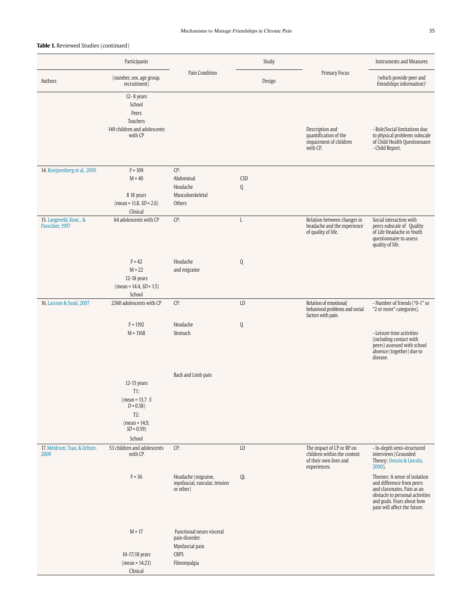|                                             | Participants                                                                                                |                                                                                               | Study           |                                                                                                    | <b>Instruments and Measures</b>                                                                                                                                                          |
|---------------------------------------------|-------------------------------------------------------------------------------------------------------------|-----------------------------------------------------------------------------------------------|-----------------|----------------------------------------------------------------------------------------------------|------------------------------------------------------------------------------------------------------------------------------------------------------------------------------------------|
| Authors                                     | (number, sex, age group,<br>recruitment)                                                                    | Pain Condition                                                                                | Design          | Primary Focus                                                                                      | (which provide peer and<br>friendships information) <sup>1</sup>                                                                                                                         |
|                                             | $12 - 8$ years<br>School<br>Peers<br>Teachers<br>149 children and adolescents<br>with CP                    |                                                                                               |                 | Description and<br>quantification of the<br>impairment of children<br>with CP.                     | - Role/Social limitations due<br>to physical problems subscale<br>of Child Health Questionnaire<br>- Child Report.                                                                       |
| 14. Konijnenberg et al., 2005               | $F = 109$<br>$M = 40$<br>8 18 years<br>$mean = 11.8, SD = 2.6$<br>Clinical                                  | CP:<br>Abdominal<br>Headache<br>Musculoeskeletal<br>Others                                    | <b>CSD</b><br>Q |                                                                                                    |                                                                                                                                                                                          |
| 15. Langeveld, Koot, , &<br>Passchier, 1997 | 64 adolescents with CP                                                                                      | CP:                                                                                           | $\mathbf L$     | Relation between changes in<br>headache and the experience<br>of quality of life.                  | Social interaction with<br>peers subscale of Quality<br>of Life Headache in Youth<br>questionnaire to assess<br>quality of life.                                                         |
|                                             | $F = 42$<br>$M = 22$<br>12-18 years<br>$(mean = 14.4, SD = 1.5)$<br>School                                  | Headache<br>and migraine                                                                      | Q               |                                                                                                    |                                                                                                                                                                                          |
| 16. Larsson & Sund, 2007                    | 2360 adolescents with CP                                                                                    | CP:                                                                                           | LD              | Relation of emotional/<br>behavioral problems and social<br>factors with pain.                     | - Number of friends ("0-1" or<br>"2 or more" categories).                                                                                                                                |
|                                             | $F = 1192$<br>$M = 1168$                                                                                    | Headache<br>Stomach                                                                           | Q               |                                                                                                    | - Leisure time activities<br>(including contact with<br>peers) assessed with school<br>absence (together) due to<br>disease.                                                             |
|                                             | 12-15 years<br>$T1$ :<br>(mean = 13.7 $S$<br>$D = 0.58$<br>$T2$ :<br>(mean = 14.9,<br>$SD = 0.59$<br>School | Back and Limb pain                                                                            |                 |                                                                                                    |                                                                                                                                                                                          |
| 17. Meldrum, Tsao, & Zeltzer,<br>2009       | 53 children and adolescents<br>with CP                                                                      | CP:                                                                                           | LD              | The impact of CP or RP on<br>children within the context<br>of their own lives and<br>experiences. | - In-depth semi-structured<br>interviews (Grounded<br>Theory; Denzin & Lincoln,<br>$2000$ ).                                                                                             |
|                                             | $F = 36$                                                                                                    | Headache (migraine,<br>myofascial, vascular, tension<br>or other)                             | QL              |                                                                                                    | Themes: A sense of isolation<br>and difference from peers<br>and classmates. Pain as an<br>obstacle to personal activities<br>and goals. Fears about how<br>pain will affect the future. |
|                                             | $M = 17$<br>10-17/18 years<br>$(mean = 14.23)$<br>Clinical                                                  | Functional neuro visceral<br>pain disorder.<br>Myofascial pain<br><b>CRPS</b><br>Fibromyalgia |                 |                                                                                                    |                                                                                                                                                                                          |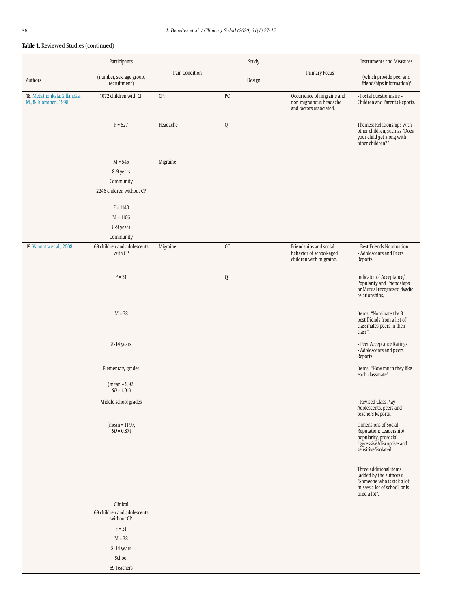|                                                      | Participants                                                    |                | Study         |                                                                                  | <b>Instruments and Measures</b>                                                                                                    |
|------------------------------------------------------|-----------------------------------------------------------------|----------------|---------------|----------------------------------------------------------------------------------|------------------------------------------------------------------------------------------------------------------------------------|
| Authors                                              | (number, sex, age group,<br>recruitment)                        | Pain Condition | Design        | Primary Focus                                                                    | (which provide peer and<br>friendships information) <sup>1</sup>                                                                   |
| 18. Metsähonkala, Sillanpää,<br>M., & Tuominen, 1998 | 1072 children with CP                                           | CP:            | ${\sf PC}$    | Occurrence of migraine and<br>non migrainous headache<br>and factors associated. | - Postal questionnaire -<br>Children and Parents Reports.                                                                          |
|                                                      | $F = 527$                                                       | Headache       | $\mathbb Q$   |                                                                                  | Themes: Relationships with<br>other children, such as "Does<br>your child get along with<br>other children?"                       |
|                                                      | $M = 545$<br>8-9 years<br>Community<br>2246 children without CP | Migraine       |               |                                                                                  |                                                                                                                                    |
|                                                      | $F = 1140$<br>$M = 1106$<br>8-9 years                           |                |               |                                                                                  |                                                                                                                                    |
|                                                      | Community                                                       |                |               |                                                                                  |                                                                                                                                    |
| 19. Vannatta et al., 2008                            | 69 children and adolescents<br>with CP                          | Migraine       | $\mathsf{CC}$ | Friendships and social<br>behavior of school-aged<br>children with migraine.     | - Best Friends Nomination<br>- Adolescents and Peers<br>Reports.                                                                   |
|                                                      | $F = 31$                                                        |                | Q             |                                                                                  | Indicator of Acceptance/<br>Popularity and Friendships<br>or Mutual recognized dyadic<br>relationships.                            |
|                                                      | $M = 38$                                                        |                |               |                                                                                  | Items: "Nominate the 3<br>best friends from a list of<br>classmates peers in their<br>class".                                      |
|                                                      | 8-14 years                                                      |                |               |                                                                                  | - Peer Acceptance Ratings<br>- Adolescents and peers<br>Reports.                                                                   |
|                                                      | Elementary grades                                               |                |               |                                                                                  | Items: "How much they like<br>each classmate".                                                                                     |
|                                                      | $(mean = 9.92,$<br>$SD = 1.01$ )                                |                |               |                                                                                  |                                                                                                                                    |
|                                                      | Middle school grades                                            |                |               |                                                                                  | - Revised Class Play -<br>Adolescents, peers and<br>teachers Reports.                                                              |
|                                                      | $(mean = 11.97,$<br>$SD = 0.87$ )                               |                |               |                                                                                  | Dimensions of Social<br>Reputation: Leadership/<br>popularity, prosocial,<br>aggressive/disruptive and<br>sensitive/isolated.      |
|                                                      |                                                                 |                |               |                                                                                  | Three additional items<br>(added by the authors):<br>"Someone who is sick a lot,<br>misses a lot of school, or is<br>tired a lot". |
|                                                      | Clinical<br>69 children and adolescents<br>without CP           |                |               |                                                                                  |                                                                                                                                    |
|                                                      | $F = 31$                                                        |                |               |                                                                                  |                                                                                                                                    |
|                                                      | $M = 38$                                                        |                |               |                                                                                  |                                                                                                                                    |
|                                                      | 8-14 years<br>School                                            |                |               |                                                                                  |                                                                                                                                    |
|                                                      | 69 Teachers                                                     |                |               |                                                                                  |                                                                                                                                    |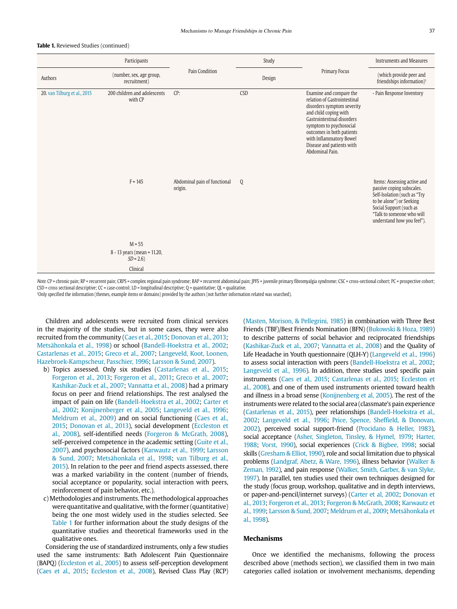|                              | Participants                              |                                         | Study  |                                                                                                                                                                                                                                                                                 | <b>Instruments and Measures</b>                                                                                                                                                                            |
|------------------------------|-------------------------------------------|-----------------------------------------|--------|---------------------------------------------------------------------------------------------------------------------------------------------------------------------------------------------------------------------------------------------------------------------------------|------------------------------------------------------------------------------------------------------------------------------------------------------------------------------------------------------------|
| Authors                      | (number, sex, age group,<br>recruitment)  | <b>Pain Condition</b>                   | Design | Primary Focus                                                                                                                                                                                                                                                                   | (which provide peer and<br>friendships information) <sup>1</sup>                                                                                                                                           |
| 20. van Tilburg et al., 2015 | 200 children and adolescents<br>with CP   | CP:                                     | CSD    | Examine and compare the<br>relation of Gastrointestinal<br>disorders symptom severity<br>and child coping with<br>Gastrointestinal disorders<br>symptom to psychosocial<br>outcomes in both patients<br>with Inflammatory Bowel<br>Disease and patients with<br>Abdominal Pain. | - Pain Response Inventory                                                                                                                                                                                  |
|                              | $F = 145$                                 | Abdominal pain of functional<br>origin. | Q      |                                                                                                                                                                                                                                                                                 | Items: Assessing active and<br>passive coping subscales.<br>Self-Isolation (such as "Try<br>to be alone") or Seeking<br>Social Support (such as<br>"Talk to someone who will<br>understand how you feel"). |
|                              | $M = 55$                                  |                                         |        |                                                                                                                                                                                                                                                                                 |                                                                                                                                                                                                            |
|                              | 8 - 13 years (mean = 11.20,<br>$SD = 2.6$ |                                         |        |                                                                                                                                                                                                                                                                                 |                                                                                                                                                                                                            |
|                              | Clinical                                  |                                         |        |                                                                                                                                                                                                                                                                                 |                                                                                                                                                                                                            |

Note. CP = chronic pain; RP = recurrent pain; CRPS = complex regional pain syndrome; RAP = recurrent abdominal pain; JPFS = juvenile primary fibromyalgia syndrome; CSC = cross-sectional cohort; PC = prospective cohort; CSD = cross sectional descriptive; CC = case-control; LD = longitudinal descriptive; Q = quantitative; QL = qualitative.

1Only specified the information (themes, example items or domains) provided by the authors (not further information related was searched).

Children and adolescents were recruited from clinical services in the majority of the studies, but in some cases, they were also recruited from the community (Caes et al., 2015; Donovan et al., 2013; Metsähonkala et al., 1998) or school (Bandell-Hoekstra et al., 2002; Castarlenas et al., 2015; Greco et al., 2007; Langeveld, Koot, Loonen, Hazebroek-Kampscheur, Passchier, 1996; Larsson & Sund, 2007).

- b) Topics assessed. Only six studies (Castarlenas et al., 2015; Forgeron et al., 2013; Forgeron et al., 2011; Greco et al., 2007; Kashikar-Zuck et al., 2007; Vannatta et al., 2008) had a primary focus on peer and friend relationships. The rest analysed the impact of pain on life (Bandell-Hoekstra et al., 2002; Carter et al., 2002; Konijnenberger et al., 2005; Langeveld et al., 1996; Meldrum et al., 2009) and on social functioning (Caes et al., 2015; Donovan et al., 2013), social development (Eccleston et al., 2008), self-identified needs (Forgeron & McGrath, 2008), self-perceived competence in the academic setting (Guite et al., 2007), and psychosocial factors (Karwautz et al., 1999; Larsson & Sund, 2007; Metsähonkala et al., 1998; van Tilburg et al., 2015). In relation to the peer and friend aspects assessed, there was a marked variability in the content (number of friends, social acceptance or popularity, social interaction with peers, reinforcement of pain behavior, etc.).
- c) Methodologies and instruments. The methodological approaches were quantitative and qualitative, with the former (quantitative) being the one most widely used in the studies selected. See Table 1 for further information about the study designs of the quantitative studies and theoretical frameworks used in the qualitative ones.

Considering the use of standardized instruments, only a few studies used the same instruments: Bath Adolescent Pain Questionnaire (BAPQ) (Eccleston et al., 2005) to assess self-perception development (Caes et al., 2015; Eccleston et al., 2008), Revised Class Play (RCP) (Masten, Morison, & Pellegrini, 1985) in combination with Three Best Friends (TBF)/Best Friends Nomination (BFN) (Bukowski & Hoza, 1989) to describe patterns of social behavior and reciprocated friendships (Kashikar-Zuck et al., 2007; Vannatta et al., 2008) and the Quality of Life Headache in Youth questionnaire (QLH-Y) (Langeveld et al., 1996) to assess social interaction with peers (Bandell-Hoekstra et al., 2002; Langeveld et al., 1996). In addition, three studies used specific pain instruments (Caes et al., 2015; Castarlenas et al., 2015; Eccleston et al., 2008), and one of them used instruments oriented toward health and illness in a broad sense (Konijnenberg et al, 2005). The rest of the instruments were related to the social area (classmate's pain experience (Castarlenas et al., 2015), peer relationships (Bandell-Hoekstra et al., 2002; Langeveld et al., 1996; Price, Spence, Sheffield, & Donovan, 2002), perceived social support-friend (Procidano & Heller, 1983), social acceptance (Asher, Singleton, Tinsley, & Hymel, 1979; Harter, 1988; Vorst, 1990), social experiences (Crick & Bigbee, 1998; social skills (Gresham & Elliot, 1990), role and social limitation due to physical problems (Landgraf, Abetz, & Ware, 1996), illness behavior (Walker & Zeman, 1992), and pain response (Walker, Smith, Garber, & van Slyke, 1997). In parallel, ten studies used their own techniques designed for the study (focus group, workshop, qualitative and in depth interviews, or paper-and-pencil/internet surveys) (Carter et al, 2002; Donovan et al., 2013; Forgeron et al., 2013; Forgeron & McGrath, 2008; Karwautz et al., 1999; Larsson & Sund, 2007; Meldrum et al., 2009; Metsähonkala et al., 1998).

## **Mechanisms**

Once we identified the mechanisms, following the process described above (methods section), we classified them in two main categories called isolation or involvement mechanisms, depending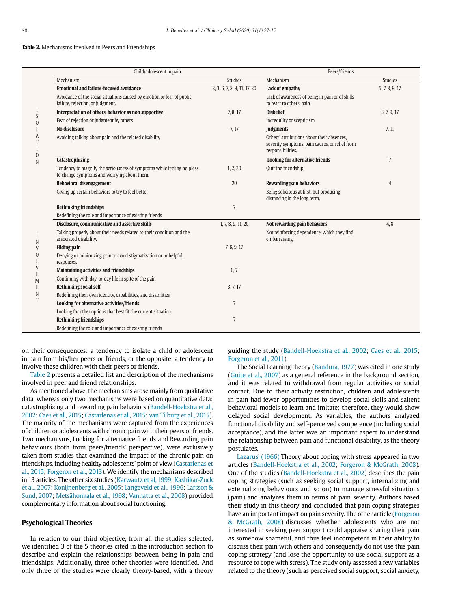#### **Table 2.** Mechanisms Involved in Peers and Friendships

|                     | Child/adolescent in pain                                                                                              |                              | Peers/friends                                                                                                     |                |
|---------------------|-----------------------------------------------------------------------------------------------------------------------|------------------------------|-------------------------------------------------------------------------------------------------------------------|----------------|
|                     | Mechanism                                                                                                             | <b>Studies</b>               | Mechanism                                                                                                         | <b>Studies</b> |
|                     | <b>Emotional and failure-focused avoidance</b>                                                                        | 2, 3, 6, 7, 8, 9, 11, 17, 20 | Lack of empathy                                                                                                   | 5, 7, 8, 9, 17 |
|                     | Avoidance of the social situations caused by emotion or fear of public<br>failure, rejection, or judgment.            |                              | Lack of awareness of being in pain or of skills<br>to react to others' pain                                       |                |
|                     | Interpretation of others' behavior as non supportive<br>Fear of rejection or judgment by others                       | 7, 8, 17                     | <b>Disbelief</b>                                                                                                  | 3, 7, 9, 17    |
| S<br>$\overline{0}$ |                                                                                                                       |                              | Incredulity or scepticism                                                                                         |                |
|                     | No disclosure                                                                                                         | 7, 17                        | Judgments                                                                                                         | 7, 11          |
|                     | Avoiding talking about pain and the related disability                                                                |                              | Others' attributions about their absences.<br>severity symptoms, pain causes, or relief from<br>responsibilities. |                |
| 0<br>N              | <b>Catastrophizing</b>                                                                                                |                              | <b>Looking for alternative friends</b>                                                                            | 7              |
|                     | Tendency to magnify the seriousness of symptoms while feeling helpless<br>to change symptoms and worrying about them. | 1, 2, 20                     | Quit the friendship                                                                                               |                |
|                     | <b>Behavioral disengagement</b>                                                                                       | 20                           | <b>Rewarding pain behaviors</b>                                                                                   | 4              |
|                     | Giving up certain behaviors to try to feel better                                                                     |                              | Being solicitous at first, but producing<br>distancing in the long term.                                          |                |
|                     | <b>Rethinking friendships</b>                                                                                         | $\overline{7}$               |                                                                                                                   |                |
|                     | Redefining the role and importance of existing friends                                                                |                              |                                                                                                                   |                |
|                     | Disclosure, communicative and assertive skills                                                                        | 1, 7, 8, 9, 11, 20           | Not rewarding pain behaviors                                                                                      | 4,8            |
| N                   | Talking properly about their needs related to their condition and the<br>associated disability.                       |                              | Not reinforcing dependence, which they find<br>embarrassing.                                                      |                |
| $\mathbf{V}$        | <b>Hiding pain</b>                                                                                                    | 7, 8, 9, 17                  |                                                                                                                   |                |
| $\Omega$            | Denying or minimizing pain to avoid stigmatization or unhelpful<br>responses.                                         |                              |                                                                                                                   |                |
| E                   | <b>Maintaining activities and friendships</b>                                                                         | 6,7                          |                                                                                                                   |                |
| M                   | Continuing with day-to-day life in spite of the pain                                                                  |                              |                                                                                                                   |                |
| E                   | <b>Rethinking social self</b>                                                                                         | 3, 7, 17                     |                                                                                                                   |                |
| N                   | Redefining their own identity, capabilities, and disabilities                                                         |                              |                                                                                                                   |                |
| T                   | Looking for alternative activities/friends                                                                            | $\overline{7}$               |                                                                                                                   |                |
|                     | Looking for other options that best fit the current situation                                                         |                              |                                                                                                                   |                |
|                     | <b>Rethinking friendships</b>                                                                                         | 7                            |                                                                                                                   |                |
|                     | Redefining the role and importance of existing friends                                                                |                              |                                                                                                                   |                |

on their consequences: a tendency to isolate a child or adolescent in pain from his/her peers or friends, or the opposite, a tendency to involve these children with their peers or friends.

Table 2 presents a detailed list and description of the mechanisms involved in peer and friend relationships.

As mentioned above, the mechanisms arose mainly from qualitative data, whereas only two mechanisms were based on quantitative data: catastrophizing and rewarding pain behaviors (Bandell-Hoekstra et al., 2002; Caes et al., 2015; Castarlenas et al., 2015; van Tilburg et al., 2015). The majority of the mechanisms were captured from the experiences of children or adolescents with chronic pain with their peers or friends. Two mechanisms, Looking for alternative friends and Rewarding pain behaviours (both from peers/friends' perspective), were exclusively taken from studies that examined the impact of the chronic pain on friendships, including healthy adolescents' point of view (Castarlenas et al., 2015; Forgeron et al., 2013). We identify the mechanisms described in 13 articles. The other six studies (Karwautz et al, 1999; Kashikar-Zuck et al., 2007; Konijnenberg et al., 2005; Langeveld et al., 1996; Larsson & Sund, 2007; Metsähonkala et al., 1998; Vannatta et al., 2008) provided complementary information about social functioning.

## **Psychological Theories**

In relation to our third objective, from all the studies selected, we identified 3 of the 5 theories cited in the introduction section to describe and explain the relationships between being in pain and friendships. Additionally, three other theories were identified. And only three of the studies were clearly theory-based, with a theory guiding the study (Bandell-Hoekstra et al., 2002; Caes et al., 2015; Forgeron et al., 2011).

The Social Learning theory (Bandura, 1977) was cited in one study (Guite et al., 2007) as a general reference in the background section, and it was related to withdrawal from regular activities or social contact. Due to their activity restriction, children and adolescents in pain had fewer opportunities to develop social skills and salient behavioral models to learn and imitate; therefore, they would show delayed social development. As variables, the authors analyzed functional disability and self-perceived competence (including social acceptance), and the latter was an important aspect to understand the relationship between pain and functional disability, as the theory postulates.

Lazarus' (1966) Theory about coping with stress appeared in two articles (Bandell-Hoekstra et al., 2002; Forgeron & McGrath, 2008). One of the studies (Bandell-Hoekstra et al., 2002) describes the pain coping strategies (such as seeking social support, internalizing and externalizing behaviours and so on) to manage stressful situations (pain) and analyzes them in terms of pain severity. Authors based their study in this theory and concluded that pain coping strategies have an important impact on pain severity. The other article (Forgeron & McGrath, 2008) discusses whether adolescents who are not interested in seeking peer support could appraise sharing their pain as somehow shameful, and thus feel incompetent in their ability to discuss their pain with others and consequently do not use this pain coping strategy (and lose the opportunity to use social support as a resource to cope with stress). The study only assessed a few variables related to the theory (such as perceived social support, social anxiety,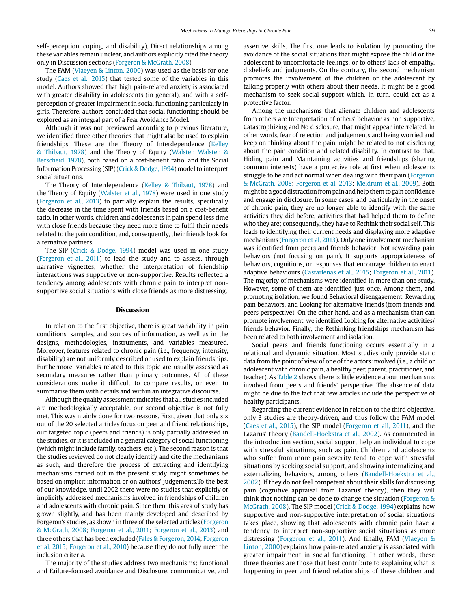self-perception, coping, and disability). Direct relationships among these variables remain unclear, and authors explicitly cited the theory only in Discussion sections (Forgeron & McGrath, 2008).

The FAM (Vlaeyen & Linton, 2000) was used as the basis for one study (Caes et al., 2015) that tested some of the variables in this model. Authors showed that high pain-related anxiety is associated with greater disability in adolescents (in general), and with a selfperception of greater impairment in social functioning particularly in girls. Therefore, authors concluded that social functioning should be explored as an integral part of a Fear Avoidance Model.

Although it was not previewed according to previous literature, we identified three other theories that might also be used to explain friendships. These are the Theory of Interdependence (Kelley & Thibaut, 1978) and the Theory of Equity (Walster, Walster, & Berscheid, 1978), both based on a cost-benefit ratio, and the Social Information Processing (SIP) (Crick & Dodge, 1994) model to interpret social situations.

The Theory of Interdependence (Kelley & Thibaut, 1978) and the Theory of Equity (Walster et al., 1978) were used in one study (Forgeron et al., 2013) to partially explain the results, specifically the decrease in the time spent with friends based on a cost-benefit ratio. In other words, children and adolescents in pain spend less time with close friends because they need more time to fulfil their needs related to the pain condition, and, consequently, their friends look for alternative partners.

The SIP (Crick & Dodge, 1994) model was used in one study (Forgeron et al., 2011) to lead the study and to assess, through narrative vignettes, whether the interpretation of friendship interactions was supportive or non-supportive. Results reflected a tendency among adolescents with chronic pain to interpret nonsupportive social situations with close friends as more distressing.

#### **Discussion**

In relation to the first objective, there is great variability in pain conditions, samples, and sources of information, as well as in the designs, methodologies, instruments, and variables measured. Moreover, features related to chronic pain (i.e., frequency, intensity, disability) are not uniformly described or used to explain friendships. Furthermore, variables related to this topic are usually assessed as secondary measures rather than primary outcomes. All of these considerations make it difficult to compare results, or even to summarise them with details and within an integrative discourse.

Although the quality assessment indicates that all studies included are methodologically acceptable, our second objective is not fully met. This was mainly done for two reasons. First, given that only six out of the 20 selected articles focus on peer and friend relationships, our targeted topic (peers and friends) is only partially addressed in the studies, or it is included in a general category of social functioning (which might include family, teachers, etc.). The second reason is that the studies reviewed do not clearly identify and cite the mechanisms as such, and therefore the process of extracting and identifying mechanisms carried out in the present study might sometimes be based on implicit information or on authors' judgements.To the best of our knowledge, until 2002 there were no studies that explicitly or implicitly addressed mechanisms involved in friendships of children and adolescents with chronic pain. Since then, this area of study has grown slightly, and has been mainly developed and described by Forgeron's studies, as shown in three of the selected articles (Forgeron & McGrath, 2008; Forgeron et al., 2011; Forgeron et al., 2013) and three others that has been excluded (Fales & Forgeron, 2014; Forgeron et al, 2015; Forgeron et al., 2010) because they do not fully meet the inclusion criteria.

The majority of the studies address two mechanisms: Emotional and Failure-focused avoidance and Disclosure, communicative, and assertive skills. The first one leads to isolation by promoting the avoidance of the social situations that might expose the child or the adolescent to uncomfortable feelings, or to others' lack of empathy, disbeliefs and judgments. On the contrary, the second mechanism promotes the involvement of the children or the adolescent by talking properly with others about their needs. It might be a good mechanism to seek social support which, in turn, could act as a protective factor.

Among the mechanisms that alienate children and adolescents from others are Interpretation of others' behavior as non supportive, Catastrophizing and No disclosure, that might appear interrelated. In other words, fear of rejection and judgements and being worried and keep on thinking about the pain, might be related to not disclosing about the pain condition and related disability. In contrast to that, Hiding pain and Maintaining activities and friendships (sharing common interests) have a protective role at first when adolescents struggle to be and act normal when dealing with their pain (Forgeron & McGrath, 2008; Forgeron et al, 2013; Meldrum et al., 2009). Both might be a good distraction from pain and help them to gain confidence and engage in disclosure. In some cases, and particularly in the onset of chronic pain, they are no longer able to identify with the same activities they did before, activities that had helped them to define who they are; consequently, they have to Rethink their social self. This leads to identifying their current needs and displaying more adaptive mechanisms (Forgeron et al, 2013). Only one involvement mechanism was identified from peers and friends behavior: Not rewarding pain behaviors (not focusing on pain). It supports appropriateness of behaviors, cognitions, or responses that encourage children to enact adaptive behaviours (Castarlenas et al., 2015; Forgeron et al., 2011). The majority of mechanisms were identified in more than one study. However, some of them are identified just once. Among them, and promoting isolation, we found Behavioral disengagement, Rewarding pain behaviors, and Looking for alternative friends (from friends and peers perspective). On the other hand, and as a mechanism than can promote involvement, we identified Looking for alternative activities/ friends behavior. Finally, the Rethinking friendships mechanism has been related to both involvement and isolation.

Social peers and friends functioning occurs essentially in a relational and dynamic situation. Most studies only provide static data from the point of view of one of the actors involved (i.e., a child or adolescent with chronic pain, a healthy peer, parent, practitioner, and teacher). As Table 2 shows, there is little evidence about mechanisms involved from peers and friends' perspective. The absence of data might be due to the fact that few articles include the perspective of healthy participants.

Regarding the current evidence in relation to the third objective, only 3 studies are theory-driven, and thus follow the FAM model (Caes et al., 2015), the SIP model (Forgeron et all, 2011), and the Lazarus' theory (Bandell-Hoekstra et al., 2002). As commented in the introduction section, social support help an individual to cope with stressful situations, such as pain. Children and adolescents who suffer from more pain severity tend to cope with stressful situations by seeking social support, and showing internalizing and externalizing behaviors, among others (Bandell-Hoekstra et al., 2002). If they do not feel competent about their skills for discussing pain (cognitive appraisal from Lazarus' theory), then they will think that nothing can be done to change the situation (Forgeron & McGrath, 2008). The SIP model (Crick & Dodge, 1994) explains how supportive and non-supportive interpretation of social situations takes place, showing that adolescents with chronic pain have a tendency to interpret non-supportive social situations as more distressing (Forgeron et al., 2011). And finally, FAM (Vlaeyen & Linton, 2000) explains how pain-related anxiety is associated with greater impairment in social functioning. In other words, these three theories are those that best contribute to explaining what is happening in peer and friend relationships of these children and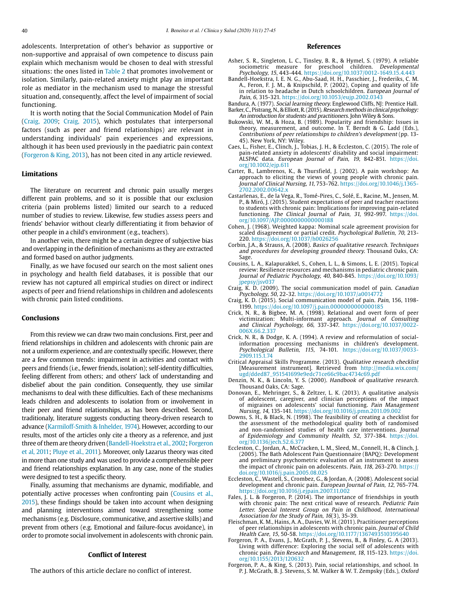adolescents. Interpretation of other's behavior as supportive or non-supportive and appraisal of own competence to discuss pain explain which mechanism would be chosen to deal with stressful situations: the ones listed in Table 2 that promotes involvement or isolation. Similarly, pain-related anxiety might play an important role as mediator in the mechanism used to manage the stressful situation and, consequently, affect the level of impairment of social functioning.

It is worth noting that the Social Communication Model of Pain (Craig, 2009; Craig, 2015), which postulates that interpersonal factors (such as peer and friend relationships) are relevant in understanding individuals' pain experiences and expressions, although it has been used previously in the paediatric pain context (Forgeron & King, 2013), has not been cited in any article reviewed.

#### **Limitations**

The literature on recurrent and chronic pain usually merges different pain problems, and so it is possible that our exclusion criteria (pain problems listed) limited our search to a reduced number of studies to review. Likewise, few studies assess peers and friends' behavior without clearly differentiating it from behavior of other people in a child's environment (e.g., teachers).

In another vein, there might be a certain degree of subjective bias and overlapping in the definition of mechanisms as they are extracted and formed based on author judgments.

Finally, as we have focused our search on the most salient ones in psychology and health field databases, it is possible that our review has not captured all empirical studies on direct or indirect aspects of peer and friend relationships in children and adolescents with chronic pain listed conditions.

## **Conclusions**

From this review we can draw two main conclusions. First, peer and friend relationships in children and adolescents with chronic pain are not a uniform experience, and are contextually specific. However, there are a few common trends: impairment in activities and contact with peers and friends (i.e., fewer friends, isolation); self-identity difficulties, feeling different from others; and others' lack of understanding and disbelief about the pain condition. Consequently, they use similar mechanisms to deal with these difficulties. Each of these mechanisms leads children and adolescents to isolation from or involvement in their peer and friend relationships, as has been described. Second, traditionaly, literature suggests conducting theory-driven research to advance (Karmiloff-Smith & Inhelder, 1974). However, according to our results, most of the articles only cite a theory as a reference, and just three of them are theory driven (Bandell-Hoekstra et al., 2002; Forgeron et al, 2011; Pluye et al., 2011). Moreover, only Lazarus theory was cited in more than one study and was used to provide a comprehensible peer and friend relationships explanation. In any case, none of the studies were designed to test a specific theory.

Finally, assuming that mechanisms are dynamic, modifiable, and potentially active processes when confronting pain (Cousins et al., 2015), these findings should be taken into account when designing and planning interventions aimed toward strengthening some mechanisms (e.g. Disclosure, communicative, and assertive skills) and prevent from others (e.g. Emotional and failure-focus avoidance), in order to promote social involvement in adolescents with chronic pain.

#### **Conflict of Interest**

The authors of this article declare no conflict of interest.

#### **References**

- Asher, S. R., Singleton, L. C., Tinsley, B. R., & Hymel, S. (1979). A reliable sociometric measure for preschool children. Developmental Psychology, 15, 443-444.<https://doi.org/10.1037/0012-1649.15.4.443>
- Bandell-Hoekstra, I. E. N. G., Abu-Saad, H. H., Passchier, J., Frederiks, C. M. A., Feron, F. J. M., & Knipschild, P. (2002), Coping and quality of life in relation to headache in Dutch schoolchildren. European Journal of Pain, 6, 315-321. https://doi.org/10.1053/eujp.2002.0343
- Bandura, A. (1977). Social learning theory. Englewood Cliffs, NJ: Prentice Hall. Barker, C., Pistrang, N., & Elliott, R. (2015). Research methods in clinical psychology: An introduction for students and practitioners. John Wiley & Sons.
- Bukowski, W. M., & Hoza, B. (1989). Popularity and friendship: Issues in theory, measurement, and outcome. In T. Berndt & G. Ladd (Eds.), Contributions of peer relationships to children's development (pp. 13- 45). New York, NY: Wiley.
- Caes, L., Fisher, E., Clinch, J., Tobias, J. H., & Eccleston, C. (2015). The role of pain-related anxiety in adolescents' disability and social impairment: ALSPAC data. European Journal of Pain, 19, 842-851. [https://doi.](https://doi.org/10.1002/ejp.611) [org/10.1002/ejp.611](https://doi.org/10.1002/ejp.611)
- Carter, B., Lambrenos, K., & Thursfield, J. (2002). A pain workshop: An approach to eliciting the views of young people with chronic pain. Journal of Clinical Nursing, 11, 753-762. [https://doi.org/10.1046/j.1365-](https://doi.org/10.1046/j.1365-2702.2002.00642.x) [2702.2002.00642.x](https://doi.org/10.1046/j.1365-2702.2002.00642.x)
- Castarlenas, E., de la Vega, R., Tomé-Pires, C., Solé, E., Racine, M., Jensen, M. P., & Miró, J. (2015). Student expectations of peer and teacher reactions to students with chronic pain: Implications for improving pain-related functioning. The Clinical Journal of Pain, 31, 992-997. [https://doi.](https://doi.org/10.1097/AJP.0000000000000188) [org/10.1097/AJP.0000000000000188](https://doi.org/10.1097/AJP.0000000000000188)
- Cohen, J. (1968). Weighted kappa: Nominal scale agreement provision for scaled disagreement or partial credit. Psychological Bulletin, 70, 213- 220. <https://doi.org/10.1037/h0026256>
- Corbin, J.A., & Strauss, A. (2008). Basics of qualitative research. Techniques and procedures for developing grounded theory. Thousand Oaks, CA: Sage.
- Cousins, L. A., Kalapurakkel, S., Cohen, L. L., & Simons, L. E. (2015). Topical review: Resilience resources and mechanisms in pediatric chronic pain. Journal of Pediatric Psychology, 40, 840-845. [https://doi.org/10.1093/](https://doi.org/10.1093/jpepsy/jsv037) [jpepsy/jsv037](https://doi.org/10.1093/jpepsy/jsv037)
- Craig, K. D. (2009). The social communication model of pain. Canadian Psychology, 50, 22-32. <https://doi.org/10.1037/a0014772>
- Craig, K. D. (2015). Social communication model of pain. Pain, 156, 1198- 1199. <https://doi.org/10.1097/j.pain.0000000000000185>
- Crick, N. R., & Bigbee, M. A. (1998). Relational and overt form of peer victimization: Multi-informant approach. Journal of Consulting and Clinical Psychology, 66, 337-347. [https://doi.org/10.1037/0022-](https://doi.org/10.1037/0022-006X.66.2.337) [006X.66.2.337](https://doi.org/10.1037/0022-006X.66.2.337)
- Crick, N. R., & Dodge, K. A. (1994). A review and reformulation of socialinformation processing mechanisms in children's development. Psychological Bulletin, 115, 74-101. [https://doi.org/10.1037/0033-](https://doi.org/10.1037/0033-2909.115.1.74) [2909.115.1.74](https://doi.org/10.1037/0033-2909.115.1.74)
- Critical Appraisal Skills Programme. (2013). Qualitative research checklist [Measurement instrument]. Retrieved from [http://media.wix.com/](http://media.wix.com/ugd/dded87_951541699e9edc71ce66c9bac4734c69.pdf) [ugd/dded87\\_951541699e9edc71ce66c9bac4734c69.pdf](http://media.wix.com/ugd/dded87_951541699e9edc71ce66c9bac4734c69.pdf)
- Denzin, N. K., & Lincoln, Y. S. (2000). Handbook of qualitative research. Thousand Oaks, CA: Sage.
- Donovan, E., Mehringer, S., & Zeltzer, L. K. (2013). A qualitative analysis of adolescent, caregiver, and clinician perceptions of the impact of migraines on adolescents' social functioning. Pain Management Nursing, 14, 135-141. <https://doi.org/10.1016/j.pmn.2011.09.002>
- Downs, S. H., & Black, N. (1998). The feasibility of creating a checklist for the assessment of the methodological quality both of randomised and non-randomised studies of health care interventions. Journal of Epidemiology and Community Health, 52, 377-384. [https://doi.](https://doi.org/10.1136/jech.52.6.377) [org/10.1136/jech.52.6.377](https://doi.org/10.1136/jech.52.6.377)
- Eccleston, C., Jordan, A., McCracken, L. M., Sleed, M., Connell, H., & Clinch, J. (2005). The Bath Adolescent Pain Questionnaire (BAPQ): Development and preliminary psychometric evaluation of an instrument to assess the impact of chronic pain on adolescents. Pain, 118, 263-270. [https://](https://doi.org/10.1016/j.pain.2005.08.025) [doi.org/10.1016/j.pain.2005.08.025](https://doi.org/10.1016/j.pain.2005.08.025)
- Eccleston, C., Wastell, S., Crombez, G., & Jordan, A. (2008). Adolescent social development and chronic pain. European Journal of Pain, 12, 765-774. <https://doi.org/10.1016/j.ejpain.2007.11.002>
- Fales, J. L. & Forgeron, P. (2014). The importance of friendships in youth with chronic pain: The next critical wave of research. Pediatric Pain Letter. Special Interest Group on Pain in Childhood, International Association for the Study of Pain, 16(3), 35-39.
- Fleischman, K. M., Hains, A. A., Davies, W. H. (2011). Practitioner perceptions of peer relationships in adolescents with chronic pain. Journal of Child<br>Health Care, 15, 50-58. <https://doi.org/10.1177/1367493510395640>
- Forgeron, P. A., Evans, J., McGrath, P. J., Stevens, B., & Finley, G. A (2013). Living with difference: Exploring the social self of adolescents with chronic pain. Pain Research and Management, 18, 115-123. [https://doi.](https://doi.org/10.1155/2013/120632) [org/10.1155/2013/120632](https://doi.org/10.1155/2013/120632)
- Forgeron, P. A., & King, S. (2013). Pain, social relationships, and school. In P. J. McGrath, B. J. Stevens, S. M. Walker & W. T. Zempsky (Eds.), Oxford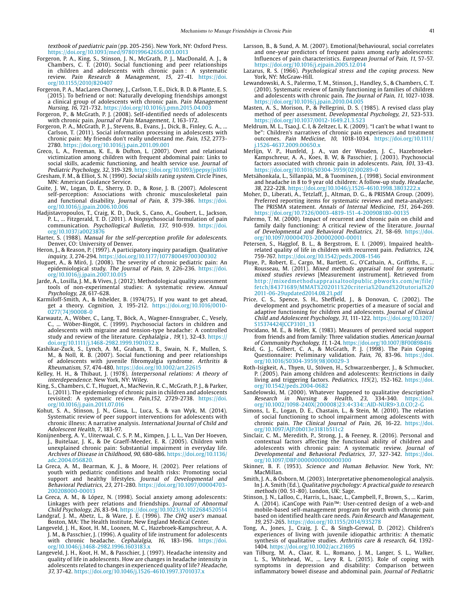textbook of paediatric pain (pp. 205-256). New York, NY: Oxford Press. <https://doi.org/10.1093/med/9780199642656.003.0013>

- Forgeron, P. A., King, S., Stinson, J. N., McGrath, P. J., MacDonald, A. J., & Chambers, C. T. (2010). Social functioning and peer relationships in children and adolescents with chronic pain : A systematic review. Pain Research & Management, 15, 27-41. [https://doi.](https://doi.org/10.1155/2010/820407) [org/10.1155/2010/820407](https://doi.org/10.1155/2010/820407)
- Forgeron, P. A., MacLaren Chorney, J., Carlson, T. E., Dick, B. D. & Plante, E. S. (2015). To befriend or not: Naturally developing friendships amongst a clinical group of adolescents with chronic pain. Pain Management Nursing, 16, 721-732. <https://doi.org/10.1016/j.pmn.2015.04.003>
- Forgeron, P., & McGrath, P. J. (2008). Self-identified needs of adolescents with chronic pain. Journal of Pain Management, 1, 163-172.
- Forgeron, P. A., McGrath, P. J., Stevens, B., Evans, J., Dick, B., Finley, G. A., ... Carlson, T. (2011). Social information processing in adolescents with chronic pain: My friends don't really understand me. Pain, 152, 2773- 2780. <https://doi.org/10.1016/j.pain.2011.09.001>
- Greco, L. A., Freeman, K. E., & Dufton, L. (2007). Overt and relational victimization among children with frequent abdominal pain: Links to social skills, academic functioning, and health service use. Journal of Pediatric Psychology, 32, 319-329.<https://doi.org/10.1093/jpepsy/jsl016>
- Gresham, F. M., & Elliot, S. N. (1990). Social skills rating system. Circle Pines, MN: American Guidance Service.
- Guite, J. W., Logan, D. E., Sherry, D. D., & Rose, J. B. (2007). Adolescent self-perception: Associations with chronic musculoskeletal pain and functional disability. *Journal of Pain, 8,* 379-386. [https://doi.](https://doi.org/10.1016/j.jpain.2006.10.006) [org/10.1016/j.jpain.2006.10.006](https://doi.org/10.1016/j.jpain.2006.10.006)
- Hadjistavropoulos, T., Craig, K. D., Duck, S., Cano, A., Goubert, L., Jackson, P. L., ... Fitzgerald, T. D. (2011). A biopsychosocial formulation of pain communication. Psychollogical Bulletin, 137, 910-939. [https://doi.](https://doi.org/10.1037/a0023876) [org/10.1037/a0023876](https://doi.org/10.1037/a0023876)
- Harter, S. (1988). Manual for the self-perception profile for adolescents. Denver, CO: University of Denver.
- Heron, J., & Reason, P. (1997). A participatory inquiry paradigm. Qualitative inquiry, 3, 274-294. <https://doi.org/10.1177/107780049700300302>
- Huguet, A., & Miró, J. (2008). The severity of chronic pediatric pain: An epidemiological study. *The Journal of Pain, 9,* 226-236. [https://doi.](https://doi.org/10.1016/j.jpain.2007.10.015) [org/10.1016/j.jpain.2007.10.015](https://doi.org/10.1016/j.jpain.2007.10.015)
- Jarde, A., Losilla, J. M., & Vives, J. (2012). Methodological quality assessment tools of non-experimental studies: A systematic review. Annual Psychology, 28, 617-628.
- Karmiloff-Smith, A., & Inhelder, B. (1974/75). If you want to get ahead, get a theory. Cognition, 3, 195-212. [https://doi.org/10.1016/0010-](https://doi.org/10.1016/0010-0277(74)90008-0) [0277\(74\)90008-0](https://doi.org/10.1016/0010-0277(74)90008-0)
- Karwautz, A., Wöber, C., Lang, T., Böck, A., Wagner-Ennsgraber, C., Vesely, C., ... Wöber-Bingöt, C. (1999). Psychosocial factors in children and adolescents with migraine and tension-type headache: A controlled study and review of the literature. Cephalalgia, 19(1), 32-43. [https://](https://doi.org/10.1111/j.1468-2982.1999.1901032.x) [doi.org/10.1111/j.1468-2982.1999.1901032.x](https://doi.org/10.1111/j.1468-2982.1999.1901032.x)
- Kashikar-Zuck, S., Lynch, A. M., Graham, T. B., Swain, N. F., Mullen, S. M., & Noll, R. B. (2007). Social functioning and peer relationships of adolescents with juvenile fibromyalgia syndrome. Arthritis & Rheumatism, 57, 474-480.<https://doi.org/10.1002/art.22615>
- Kelley, H. H., & Thibaut, J. (1978). Interpersonal relations: A theory of interdependence. New York, NY: Wiley.
- King, S., Chambers, C. T., Huguet, A., MacNevin, R. C., McGrath, P. J., & Parker, L. (2011). The epidemiology of chronic pain in children and adolescents revisited: A systematic review. Pain,152, 2729-2738. [https://doi.](https://doi.org/10.1016/j.pain.2011.07.016) [org/10.1016/j.pain.2011.07.016](https://doi.org/10.1016/j.pain.2011.07.016)
- Kohut, S. A., Stinson, J. N., Giosa, L., Luca, S., & van Wyk, M. (2014). Systematic review of peer support interventions for adolescents with chronic illness: A narrative analysis. International Journal of Child and Adolescent Health, 7, 183-97.
- Konijnenberg, A. Y., Uiterwaal, C. S. P. M., Kimpen, J. L. L., Van Der Hoeven, J., Buitelaar, J. K., & De Graeff-Meeder, E. R. (2005). Children with unexplained chronic pain: Substantial impairment in everyday life. Archives of Disease in Childhood, 90, 680-686. https://doi.org/10.1136/ adc.2004.056820.
- La Greca, A. M., Bearman, K. J., & Moore, H. (2002). Peer relations of youth with pediatric conditions and health risks: Promoting social support and healthy lifestyles. Journal of Developmental and Behavioral Pediatrics, 23, 271-280. [https://doi.org/10.1097/00004703-](https://doi.org/10.1097/00004703-200208000-00013) [200208000-00013](https://doi.org/10.1097/00004703-200208000-00013)
- La Greca, A. M., & López, N. (1998). Social anxiety among adolescents: Linkages with peer relations and friendships. Journal of Abnormal Child Psychology, 26, 83-94.<https://doi.org/10.1023/A:1022684520514>
- Landgraf, J. M., Abetz, L., & Ware, J. E. (1996). The CHQ user's manual. Boston, MA: The Health Institute, New England Medical Center.
- Langeveld, J. H., Koot, H. M., Loonen, M. C., Hazebroek-Kampschreur, A. A. J. M., & Passchier, J. (1996). A quality of life instrument for adolescents with chronic headache. *Cephalalgia, 16*, 183-196. [https://doi.](https://doi.org/10.1046/j.1468-2982.1996.1603183.x) [org/10.1046/j.1468-2982.1996.1603183.x](https://doi.org/10.1046/j.1468-2982.1996.1603183.x)
- Langeveld, J. H., Koot, H. M., & Passchier, J. (1997). Headache intensity and quality of life in adolescents. How are changes in headache intensity in adolescents related to changes in experienced quality of life? Headache, 37, 37-42. <https://doi.org/10.1046/j.1526-4610.1997.3701037.x>
- Larsson, B., & Sund, A. M. (2007). Emotional/behavioural, social correlates and one-year predictors of frequent pains among early adolescents: Influences of pain characteristics. European Journal of Pain, 11, 57-57. <https://doi.org/10.1016/j.ejpain.2005.12.014>
- Lazarus, R. S. (1966). Psychological stress and the coping process. New York, NY: McGraw-Hill.
- Lewandowski, A. S., Palermo, T. M., Stinson, J., Handley, S., & Chambers, C. T. (2010). Systematic review of family functioning in families of children and adolescents with chronic pain. The Journal of Pain, 11, 1027-1038. <https://doi.org/10.1016/j.jpain.2010.04.005>
- Masten, A. S., Morison, P., & Pellegrini, D. S. (1985). A revised class play method of peer assessment. Developmental Psychology, 21, 523-533. <https://doi.org/10.1037/0012-1649.21.3.523>
- Meldrum, M. L., Tsao,J. C. I, & Zeltzer, L. K. (2009). "I can't be what I want to be": Children's narratives of chronic pain experiences and treatment outcomes. Pain Medicine, 10, 1018-1034. [https://doi.org/10.1111/](https://doi.org/10.1111/j.1526-4637.2009.00650.x) [j.1526-4637.2009.00650.x](https://doi.org/10.1111/j.1526-4637.2009.00650.x)
- Merlijn, V. P., Hunfeld, J. A., van der Wouden, J. C., Hazebroeket-Kampschreur, A. A., Koes, B. W, & Passchier, J. (2003). Psychosocial factors associated with chronic pain in adolescents. Pain, 101, 33-43. [https://doi.org/10.1016/S0304-3959\(02\)00289-0](https://doi.org/10.1016/S0304-3959(02)00289-0)
- Metsähonkala, L., Sillanpää, M., & Tuominen, J. (1998). Social environment and headache in 8 to 9 year old children: A follow-up study. Headache, 38, 222-228. <https://doi.org/10.1046/j.1526-4610.1998.3803222.x>
- Moher, D., Liberati, A., Tetzlaff, J., Altman, D. G., & PRISMA Group. (2009). Preferred reporting items for systematic reviews and meta-analyses: The PRISMA statement. Annals of Internal Medicine, 151, 264-269. <https://doi.org/10.7326/0003-4819-151-4-200908180-00135>
- Palermo, T. M. (2000). Impact of recurrent and chronic pain on child and family daily functioning: A critical review of the literature. Journal of Developmental and Behavioral Pediatrics, 21, 58-69. [https://doi.](https://doi.org/10.1097/00004703-200002000-00011) [org/10.1097/00004703-200002000-00011](https://doi.org/10.1097/00004703-200002000-00011)
- Petersen, S., Hagglof, B. L., & Bergstrom, E. I. (2009). Impaired healthrelated quality of life in children with recurrent pain. Pediatrics, 124, 759-767.<https://doi.org/10.1542/peds.2008-1546>
- Pluye, P., Robert, E., Cargo, M., Bartlett, G., O'Cathain, A., Griffiths, F., ... Rousseau, M. (2011). Mixed methods appraisal tool for systematic mixed studies reviews [Measurement instrument]. Retrieved from [http://mixedmethodsappraisaltoolpublic.pbworks.com/w/file/](http://mixedmethodsappraisaltoolpublic.pbworks.com/w/file/fetch/84371689/MMAT 2011 criteria and tutorial 2011-06-29updated2014.08.21.pdf) [fetch/84371689/MMAT%202011%20criteria%20and%20tutorial%20](http://mixedmethodsappraisaltoolpublic.pbworks.com/w/file/fetch/84371689/MMAT 2011 criteria and tutorial 2011-06-29updated2014.08.21.pdf) [2011-06-29updated2014.08.21.pdf](http://mixedmethodsappraisaltoolpublic.pbworks.com/w/file/fetch/84371689/MMAT 2011 criteria and tutorial 2011-06-29updated2014.08.21.pdf)
- Price, C. S., Spence, S. H., Sheffield, J., & Donovan, C. (2002). The development and psychometric properties of a measure of social and adaptive functioning for children and adolescents. Journal of Clinical Child and Adolescent Psychology, 31, 111-122. [https://doi.org/10.1207/](https://doi.org/10.1207/S15374424JCCP3101_13) [S15374424JCCP3101\\_13](https://doi.org/10.1207/S15374424JCCP3101_13)
- Procidano, M. E., & Heller, K. (1983). Measures of perceived social support from friends and from family: Three validation studies. American Journal of Community Psychology, 11, 1-24.<https://doi.org/10.1007/BF00898416>
- Reid, G. J., Gilbert, C. A., & McGrath, P. J. (1998). The Pain Coping Questionnaire: Preliminary validation. Pain, 76, 83-96. [https://doi.](https://doi.org/10.1016/S0304-3959(98)00029-3) [org/10.1016/S0304-3959\(98\)00029-3](https://doi.org/10.1016/S0304-3959(98)00029-3)
- Roth-Isigkeit, A., Thyen, U., Stöven, H., Schwarzenberger, J., & Schmucker, P. (2005). Pain among children and adolescents: Restrictions in daily living and triggering factors. Pediatrics, 115(2), 152-162. [https://doi.](https://doi.org/10.1542/peds.2004-0682) [org/10.1542/peds.2004-0682](https://doi.org/10.1542/peds.2004-0682)
- Sandelowski, M. (2000). Whatever happened to qualitative description? Research in Nursing & Health, 23, 334-340. [https://doi.](https://doi.org/10.1002/1098-240X(200008)23:4%3C334::AID-NUR9%3E3.0.CO;2-G) [org/10.1002/1098-240X\(200008\)23:4<334::AID-NUR9>3.0.CO;2-G](https://doi.org/10.1002/1098-240X(200008)23:4%3C334::AID-NUR9%3E3.0.CO;2-G)
- Simons, L. E., Logan, D. E., Chastain, L., & Stein, M. (2010). The relation of social functioning to school impairment among adolescents with chronic pain. The Clinical Journal of Pain, 26, 16-22. [https://doi.](https://doi.org/10.1097/AJP.0b013e3181b511c2) [org/10.1097/AJP.0b013e3181b511c2](https://doi.org/10.1097/AJP.0b013e3181b511c2)
- Sinclair, C. M., Meredith, P., Strong, J., & Feeney, R. (2016). Personal and contextual factors affecting the functional ability of children and adolescents with chronic pain: A systematic review. Journal of Developmental and Behavioral Pediatrics, 37, 327-342. [https://doi.](https://doi.org/10.1097/DBP.0000000000000300) [org/10.1097/DBP.0000000000000300](https://doi.org/10.1097/DBP.0000000000000300)
- Skinner, B. F. (1953). Science and Human Behavior. New York, NY: MacMillan.
- Smith, J. A., & Osborn, M. (2003). Interpretative phenomenological analysis. In J. A. Smith (Ed.), Qualitative psychology: A practical guide to research methods (00. 51-80). London, UK: Sage.
- Stinson, J. N., Lalloo, C., Harris, L., Isaac, L., Campbell, F., Brown, S., ... Karim, A. (2014). iCanCope with Pain™: User-centred design of a web-and mobile-based self-management program for youth with chronic pain based on identified health care needs. Pain Research and Management, 19, 257-265. <https://doi.org/10.1155/2014/935278>
- Tong, A., Jones, J., Craig, J. C., & Singh-Grewal, D. (2012). Children's experiences of living with juvenile idiopathic arthritis: A thematic synthesis of qualitative studies. Arthritis care & research, 64, 1392-1404. <https://doi.org/10.1002/acr.21695>
- van Tilburg, M. A., Claar, R. L., Romano, J. M., Langer, S. L., Walker, L. S., Whitehead, W., ... Levy R. L. (2015). Role of coping with symptoms in depression and disability: Comparison between inflammatory bowel disease and abdominal pain. Journal of Pediatric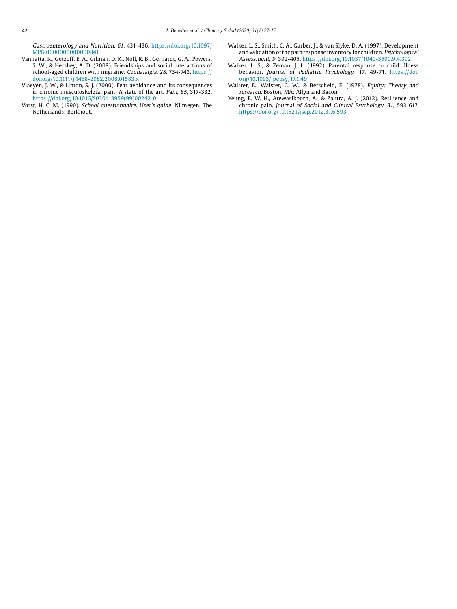Gastroenterology and Nutrition, 61, 431-436. [https://doi.org/10.1097/](https://doi.org/10.1097/MPG.0000000000000841) [MPG.0000000000000841](https://doi.org/10.1097/MPG.0000000000000841)

- Vannatta, K., Getzoff, E. A., Gilman, D. K., Noll, R. B., Gerhardt, G. A., Powers, S. W., & Hershey, A. D. (2008). Friendships and social interactions of school-aged children with migraine. Cephalalgia, 28, 734-743. [https://](https://doi.org/10.1111/j.1468-2982.2008.01583.x) [doi.org/10.1111/j.1468-2982.2008.01583.x](https://doi.org/10.1111/j.1468-2982.2008.01583.x)
- Vlaeyen, J. W., & Linton, S. J. (2000). Fear-avoidance and its consequences in chronic musculoskeletal pain: A state of the art. Pain, 85, 317-332. [https://doi.org/10.1016/S0304-3959\(99\)00242-0](https://doi.org/10.1016/S0304-3959(99)00242-0)
- Vorst, H. C. M. (1990). School questionnaire. User's guide. Nijmegen, The Netherlands: Berkhout.
- Walker, L. S., Smith, C. A., Garber, J., & van Slyke, D. A. (1997). Development and validation of the pain response inventory for children. Psychological Assessment, 9, 392-405.<https://doi.org/10.1037/1040-3590.9.4.392>
- Walker, L. S., & Zeman, J. L. (1992). Parental response to child illness behavior. Journal of Pediatric Psychology, 17, 49-71. [https://doi.](https://doi.org/10.1093/jpepsy/17.1.49) [org/10.1093/jpepsy/17.1.49](https://doi.org/10.1093/jpepsy/17.1.49)
- Walster, E., Walster, G. W., & Berscheid, E. (1978). Equity: Theory and research. Boston, MA: Allyn and Bacon.
- Yeung, E. W. H., Arewasikporn, A., & Zautra, A. J. (2012). Resilience and chronic pain. Journal of Social and Clinical Psychology, 31, 593-617. <https://doi.org/10.1521/jscp.2012.31.6.593>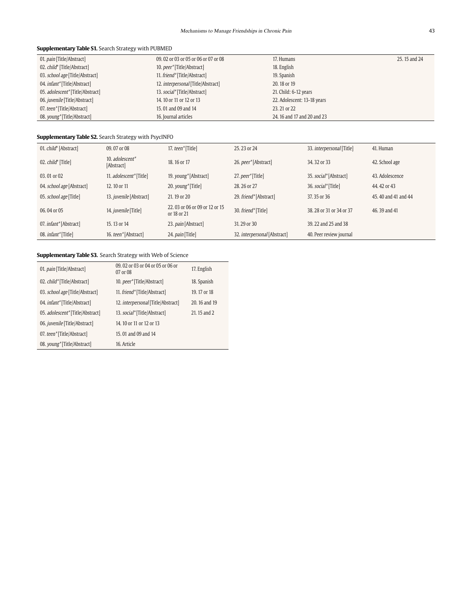## **Supplementary Table S1.** Search Strategy with PUBMED

| 01. <i>pain</i> [Title/Abstract]     | 09.02 or 03 or 05 or 06 or 07 or 08       | 17. Humans                  | 25, 15 and 24 |
|--------------------------------------|-------------------------------------------|-----------------------------|---------------|
| 02. child* [Title/Abstract]          | 10. peer*[Title/Abstract]                 | 18. English                 |               |
| 03. school age [Title/Abstract]      | 11. friend*[Title/Abstract]               | 19. Spanish                 |               |
| 04. <i>infant</i> *[Title/Abstract]  | 12. <i>interpersonal</i> [Title/Abstract] | 20, 18 or 19                |               |
| 05. adolescent*[Title/Abstract]      | 13. social*[Title/Abstract]               | 21. Child: 6-12 years       |               |
| 06. <i>juvenile</i> [Title/Abstract] | 14. 10 or 11 or 12 or 13                  | 22. Adolescent: 13-18 years |               |
| 07. teen*[Title/Abstract]            | 15, 01 and 09 and 14                      | 23, 21 or 22                |               |
| 08. young*[Title/Abstract]           | 16. Journal articles                      | 24, 16 and 17 and 20 and 23 |               |

## **Supplementary Table S2.** Search Strategy with PsycINFO

| 01. child* [Abstract]                     | 09.07 or 08                    | 17. teen*[Title]                              | 25, 23 or 24                        | 33. <i>interpersonal</i> [Title] | 41. Human            |
|-------------------------------------------|--------------------------------|-----------------------------------------------|-------------------------------------|----------------------------------|----------------------|
| 02. child* [Title]                        | 10. adolescent*<br>[Abstract]  | 18, 16 or 17                                  | 26. peer*[Abstract]                 | 34, 32 or 33                     | 42. School age       |
| 03.01 or 02                               | 11. adolescent*[Title]         | 19. young <sup>*</sup> [Abstract]             | 27. peer*[Title]                    | 35. social*[Abstract]            | 43. Adolescence      |
| 04. school age [Abstract]                 | 12, 10 or 11                   | 20. young <sup>*</sup> [Title]                | 28, 26 or 27                        | 36. social*[Title]               | 44, 42 or 43         |
| 05. school age [Title]                    | 13. <i>juvenile</i> [Abstract] | 21, 19 or 20                                  | 29. friend*[Abstract]               | 37, 35 or 36                     | 45, 40 and 41 and 44 |
| 06.04 or 05                               | 14. juvenile [Title]           | 22, 03 or 06 or 09 or 12 or 15<br>or 18 or 21 | 30. friend*[Title]                  | 38, 28 or 31 or 34 or 37         | 46, 39 and 41        |
| 07. <i>infant</i> <sup>*</sup> [Abstract] | 15, 13 or 14                   | 23. pain [Abstract]                           | 31, 29 or 30                        | 39, 22 and 25 and 38             |                      |
| 08. <i>infant</i> *[Title]                | 16. teen*[Abstract]            | 24. <i>pain</i> [Title]                       | 32. <i>interpersonal</i> [Abstract] | 40. Peer review journal          |                      |

## **Supplementary Table S3.** Search Strategy with Web of Science

| 01. pain [Title/Abstract]            | 09, 02 or 03 or 04 or 05 or 06 or<br>07 or 08 | 17. English   |
|--------------------------------------|-----------------------------------------------|---------------|
| 02. child*[Title/Abstract]           | 10. peer*[Title/Abstract]                     | 18. Spanish   |
| 03. school age [Title/Abstract]      | 11. friend*[Title/Abstract]                   | 19. 17 or 18  |
| 04. <i>infant</i> *[Title/Abstract]  | 12. <i>interpersonal</i> [Title/Abstract]     | 20, 16 and 19 |
| 05. adolescent*[Title/Abstract]      | 13. social*[Title/Abstract]                   | 21.15 and 2   |
| 06. <i>juvenile</i> [Title/Abstract] | 14. 10 or 11 or 12 or 13                      |               |
| 07. teen*[Title/Abstract]            | 15, 01 and 09 and 14                          |               |
| 08. young*[Title/Abstract]           | 16. Article                                   |               |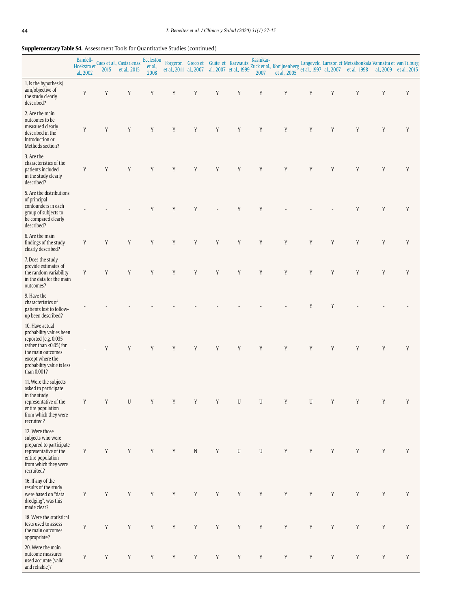## **Supplementary Table S4.** Assessment Tools for Quantitative Studies (continued)

|                                                                                                                                                                                   | al., 2002   | 2015 | Boarden-<br>Hoekstra et Caes et al., Castarlenas<br>et al., 2015 | Eccleston<br>et al.,<br>2008 |             |             |             | Forgeron Greco et Guite et Karwautz | Kashikar-   | et al., 2011 al., 2007 al., 2007 et al., 1999 Zuck et al., Konijnenberg |             |             | Langeveld Larsson et Metsähonkala Vannatta et van Tilburg<br>et al., 1997 al., 2007 et al., 1998 al., 2009 et al., 2015 |   |             |
|-----------------------------------------------------------------------------------------------------------------------------------------------------------------------------------|-------------|------|------------------------------------------------------------------|------------------------------|-------------|-------------|-------------|-------------------------------------|-------------|-------------------------------------------------------------------------|-------------|-------------|-------------------------------------------------------------------------------------------------------------------------|---|-------------|
| 1. Is the hypothesis/<br>aim/objective of<br>the study clearly<br>described?                                                                                                      | Y           | Y    | Y                                                                | Y                            | Y           | Y           | Y           | Y                                   | Y           | Y                                                                       | Y           | Y           | Y                                                                                                                       | Y | Y           |
| 2. Are the main<br>outcomes to be<br>measured clearly<br>described in the<br>Introduction or<br>Methods section?                                                                  | Y           | Y    | Y                                                                | Y                            | Y           | Y           | $\mathbf Y$ | Y                                   | Y           | Y                                                                       | Y           | Y           | Y                                                                                                                       | Y | Y           |
| 3. Are the<br>characteristics of the<br>patients included<br>in the study clearly<br>described?                                                                                   | Y           | Y    | Y                                                                | Y                            | Y           | Y           | Y           | Y                                   | Y           | Y                                                                       | Y           | Y           | Y                                                                                                                       | Y | Y           |
| 5. Are the distributions<br>of principal<br>confounders in each<br>group of subjects to<br>be compared clearly<br>described?                                                      |             |      |                                                                  | Y                            | Y           | Y           |             | Y                                   | Y           |                                                                         |             |             | Y                                                                                                                       | Y | Y           |
| 6. Are the main<br>findings of the study<br>clearly described?                                                                                                                    | Y           | Y    | Y                                                                | Y                            | Y           | Y           | Y           | Y                                   | Y           | Y                                                                       | Y           | Y           | Y                                                                                                                       | Y | Y           |
| 7. Does the study<br>provide estimates of<br>the random variability<br>in the data for the main<br>outcomes?                                                                      | Y           | Y    | Y                                                                | Y                            | Y           | Y           | Y           | Y                                   | Y           | Y                                                                       | Y           | Y           | Y                                                                                                                       | Y | Y           |
| 9. Have the<br>characteristics of<br>patients lost to follow-<br>up been described?                                                                                               |             |      |                                                                  |                              |             |             |             |                                     |             |                                                                         | Y           | Y           |                                                                                                                         |   |             |
| 10. Have actual<br>probability values been<br>reported (e.g. 0.035<br>rather than <0.05) for<br>the main outcomes<br>except where the<br>probability value is less<br>than 0.001? |             | Y    | Y                                                                | $\mathbf Y$                  | Y           | Y           | Y           | Y                                   | Y           | Y                                                                       | Y           | Y           | Y                                                                                                                       | Y | Y           |
| 11. Were the subjects<br>asked to participate<br>in the study<br>representative of the<br>entire population<br>from which they were<br>recruited?                                 | Y           | Y    | U                                                                | Y                            | Y           | Y           | Y           | U                                   | U           |                                                                         | U           | Y           |                                                                                                                         |   | Y           |
| 12. Were those<br>subjects who were<br>prepared to participate<br>representative of the<br>entire population<br>from which they were<br>recruited?                                | Y           | Y    | $\mathbf Y$                                                      | Y                            | Y           | $\mathbf N$ | Y           | $\mathsf{U}$                        | $\mathbf U$ | Y                                                                       | Y           | Y           | Y                                                                                                                       | Y | Y           |
| 16. If any of the<br>results of the study<br>were based on "data<br>dredging", was this<br>made clear?                                                                            | Y           | Y    | Y                                                                | Y                            | Y           | Y           | Y           | $\mathbf Y$                         | Y           | Y                                                                       | Y           | Y           | Y                                                                                                                       | Y | Y           |
| 18. Were the statistical<br>tests used to assess<br>the main outcomes<br>appropriate?                                                                                             | $\mathbf Y$ | Y    | $\mathbf Y$                                                      | $\mathbf Y$                  | $\mathbf Y$ | $\mathbf Y$ | $\mathbf Y$ | $\mathbf Y$                         | $\mathbf Y$ | Y                                                                       | $\mathbf Y$ | $\mathbf Y$ | Y                                                                                                                       | Y | $\mathbf Y$ |
| 20. Were the main<br>outcome measures<br>used accurate (valid<br>and reliable)?                                                                                                   | Y           | Y    | Y                                                                | Y                            | Y           | $\mathbf Y$ | $\mathbf Y$ | $\mathbf Y$                         | $\mathbf Y$ | Y                                                                       | Y           | Y           | Y                                                                                                                       | Y | Y           |